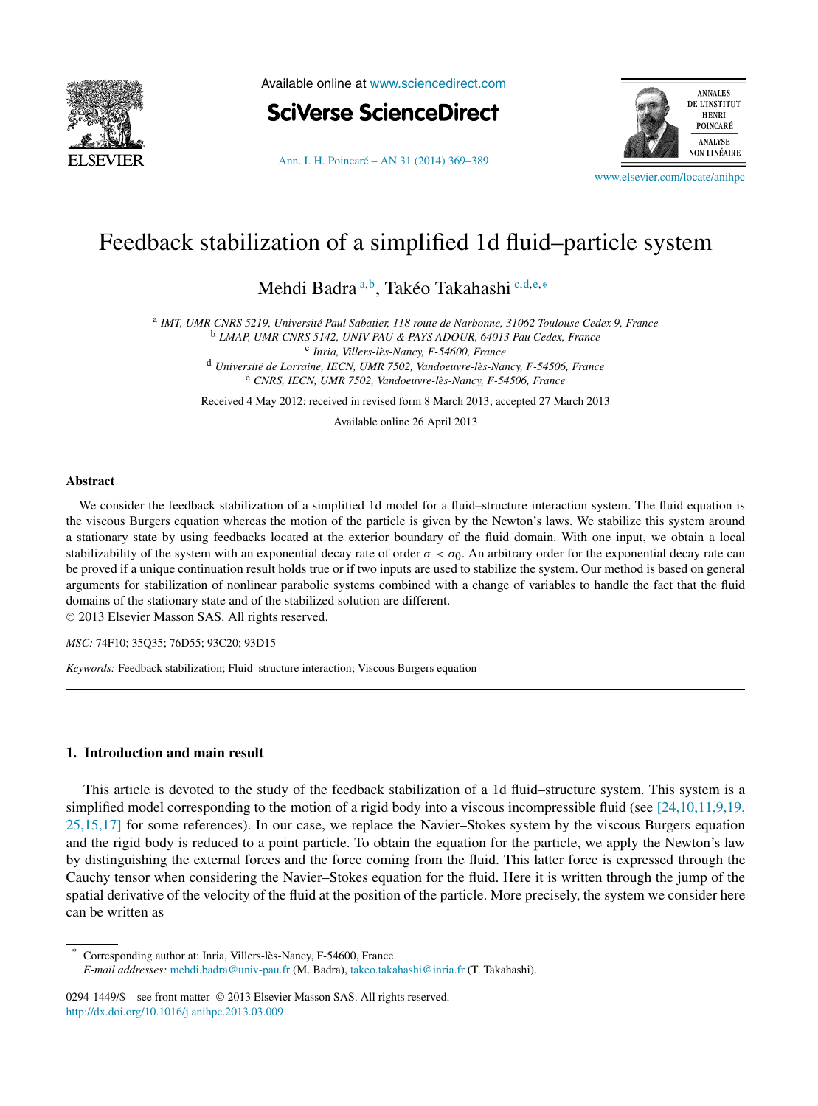

Available online at [www.sciencedirect.com](http://www.sciencedirect.com)

**SciVerse ScienceDirect** 





[www.elsevier.com/locate/anihpc](http://www.elsevier.com/locate/anihpc)

# Feedback stabilization of a simplified 1d fluid–particle system

Mehdi Badra <sup>a</sup>*,*<sup>b</sup> , Takéo Takahashi <sup>c</sup>*,*d*,*e*,*<sup>∗</sup>

<sup>a</sup> *IMT, UMR CNRS 5219, Université Paul Sabatier, 118 route de Narbonne, 31062 Toulouse Cedex 9, France* <sup>b</sup> *LMAP, UMR CNRS 5142, UNIV PAU & PAYS ADOUR, 64013 Pau Cedex, France* <sup>c</sup> *Inria, Villers-lès-Nancy, F-54600, France* <sup>d</sup> *Université de Lorraine, IECN, UMR 7502, Vandoeuvre-lès-Nancy, F-54506, France*

<sup>e</sup> *CNRS, IECN, UMR 7502, Vandoeuvre-lès-Nancy, F-54506, France*

Received 4 May 2012; received in revised form 8 March 2013; accepted 27 March 2013

Available online 26 April 2013

#### **Abstract**

We consider the feedback stabilization of a simplified 1d model for a fluid–structure interaction system. The fluid equation is the viscous Burgers equation whereas the motion of the particle is given by the Newton's laws. We stabilize this system around a stationary state by using feedbacks located at the exterior boundary of the fluid domain. With one input, we obtain a local stabilizability of the system with an exponential decay rate of order  $\sigma < \sigma_0$ . An arbitrary order for the exponential decay rate can be proved if a unique continuation result holds true or if two inputs are used to stabilize the system. Our method is based on general arguments for stabilization of nonlinear parabolic systems combined with a change of variables to handle the fact that the fluid domains of the stationary state and of the stabilized solution are different.

© 2013 Elsevier Masson SAS. All rights reserved.

*MSC:* 74F10; 35Q35; 76D55; 93C20; 93D15

*Keywords:* Feedback stabilization; Fluid–structure interaction; Viscous Burgers equation

# **1. Introduction and main result**

This article is devoted to the study of the feedback stabilization of a 1d fluid–structure system. This system is a simplified model corresponding to the motion of a rigid body into a viscous incompressible fluid (see  $[24,10,11,9,19]$ , [25,15,17\]](#page-20-0) for some references). In our case, we replace the Navier–Stokes system by the viscous Burgers equation and the rigid body is reduced to a point particle. To obtain the equation for the particle, we apply the Newton's law by distinguishing the external forces and the force coming from the fluid. This latter force is expressed through the Cauchy tensor when considering the Navier–Stokes equation for the fluid. Here it is written through the jump of the spatial derivative of the velocity of the fluid at the position of the particle. More precisely, the system we consider here can be written as

Corresponding author at: Inria, Villers-lès-Nancy, F-54600, France. *E-mail addresses:* [mehdi.badra@univ-pau.fr](mailto:mehdi.badra@univ-pau.fr) (M. Badra), [takeo.takahashi@inria.fr](mailto:takeo.takahashi@inria.fr) (T. Takahashi).

0294-1449/\$ – see front matter © 2013 Elsevier Masson SAS. All rights reserved. <http://dx.doi.org/10.1016/j.anihpc.2013.03.009>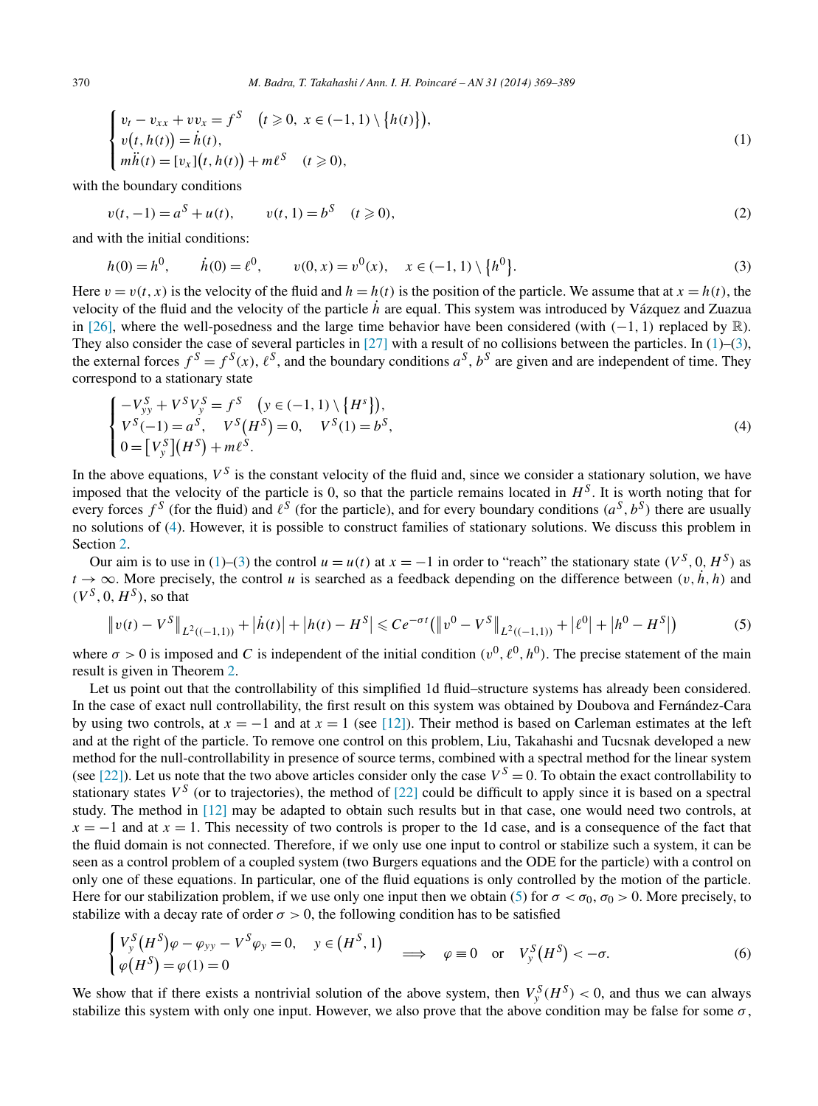<span id="page-1-0"></span>
$$
\begin{cases}\nv_t - v_{xx} + v v_x = f^S & (t \geq 0, \ x \in (-1, 1) \setminus \{h(t)\}), \\
v(t, h(t)) = \dot{h}(t), \\
m\ddot{h}(t) = [v_x](t, h(t)) + m\ell^S & (t \geq 0),\n\end{cases} \tag{1}
$$

with the boundary conditions

$$
v(t, -1) = a^S + u(t), \qquad v(t, 1) = b^S \quad (t \ge 0),
$$
\n(2)

and with the initial conditions:

$$
h(0) = h^{0}, \qquad \dot{h}(0) = \ell^{0}, \qquad v(0, x) = v^{0}(x), \quad x \in (-1, 1) \setminus \{h^{0}\}. \tag{3}
$$

Here  $v = v(t, x)$  is the velocity of the fluid and  $h = h(t)$  is the position of the particle. We assume that at  $x = h(t)$ , the velocity of the fluid and the velocity of the particle *h*˙ are equal. This system was introduced by Vázquez and Zuazua in [\[26\],](#page-20-0) where the well-posedness and the large time behavior have been considered (with *(*−1*,* 1*)* replaced by R). They also consider the case of several particles in [\[27\]](#page-20-0) with a result of no collisions between the particles. In  $(1)$ – $(3)$ , the external forces  $f^S = f^S(x)$ ,  $\ell^S$ , and the boundary conditions  $a^S$ ,  $b^S$  are given and are independent of time. They correspond to a stationary state

$$
\begin{cases}\n-V_{yy}^S + V^S V_y^S = f^S \quad (y \in (-1, 1) \setminus \{H^s\}), \\
V^S(-1) = a^S, \quad V^S(H^S) = 0, \quad V^S(1) = b^S, \\
0 = [V_y^S](H^S) + m\ell^S.\n\end{cases}
$$
\n(4)

In the above equations,  $V^S$  is the constant velocity of the fluid and, since we consider a stationary solution, we have imposed that the velocity of the particle is 0, so that the particle remains located in  $H<sup>S</sup>$ . It is worth noting that for every forces  $f^S$  (for the fluid) and  $\ell^S$  (for the particle), and for every boundary conditions  $(a^S, b^S)$  there are usually no solutions of (4). However, it is possible to construct families of stationary solutions. We discuss this problem in Section [2.](#page-4-0)

Our aim is to use in (1)–(3) the control  $u = u(t)$  at  $x = -1$  in order to "reach" the stationary state  $(V^S, 0, H^S)$  as  $t \to \infty$ . More precisely, the control *u* is searched as a feedback depending on the difference between  $(v, \dot{h}, h)$  and  $(V^S, 0, H^S)$ , so that

$$
\|v(t) - V^S\|_{L^2((-1,1))} + |\dot{h}(t)| + |h(t) - H^S| \le C e^{-\sigma t} (\|v^0 - V^S\|_{L^2((-1,1))} + |\ell^0| + |h^0 - H^S|)
$$
(5)

where  $\sigma > 0$  is imposed and C is independent of the initial condition  $(v^0, \ell^0, h^0)$ . The precise statement of the main result is given in Theorem [2.](#page-3-0)

Let us point out that the controllability of this simplified 1d fluid–structure systems has already been considered. In the case of exact null controllability, the first result on this system was obtained by Doubova and Fernández-Cara by using two controls, at  $x = -1$  and at  $x = 1$  (see [\[12\]\)](#page-19-0). Their method is based on Carleman estimates at the left and at the right of the particle. To remove one control on this problem, Liu, Takahashi and Tucsnak developed a new method for the null-controllability in presence of source terms, combined with a spectral method for the linear system (see [\[22\]\)](#page-19-0). Let us note that the two above articles consider only the case  $V^S = 0$ . To obtain the exact controllability to stationary states  $V^S$  (or to trajectories), the method of [\[22\]](#page-19-0) could be difficult to apply since it is based on a spectral study. The method in [\[12\]](#page-19-0) may be adapted to obtain such results but in that case, one would need two controls, at  $x = -1$  and at  $x = 1$ . This necessity of two controls is proper to the 1d case, and is a consequence of the fact that the fluid domain is not connected. Therefore, if we only use one input to control or stabilize such a system, it can be seen as a control problem of a coupled system (two Burgers equations and the ODE for the particle) with a control on only one of these equations. In particular, one of the fluid equations is only controlled by the motion of the particle. Here for our stabilization problem, if we use only one input then we obtain (5) for  $\sigma < \sigma_0$ ,  $\sigma_0 > 0$ . More precisely, to stabilize with a decay rate of order  $\sigma > 0$ , the following condition has to be satisfied

$$
\begin{cases}\nV_{y}^{S}(H^{S})\varphi - \varphi_{yy} - V^{S}\varphi_{y} = 0, & y \in (H^{S}, 1) \\
\varphi(H^{S}) = \varphi(1) = 0\n\end{cases} \implies \varphi \equiv 0 \text{ or } V_{y}^{S}(H^{S}) < -\sigma.
$$
\n(6)

We show that if there exists a nontrivial solution of the above system, then  $V_y^S(H^S) < 0$ , and thus we can always stabilize this system with only one input. However, we also prove that the above condition may be false for some  $\sigma$ ,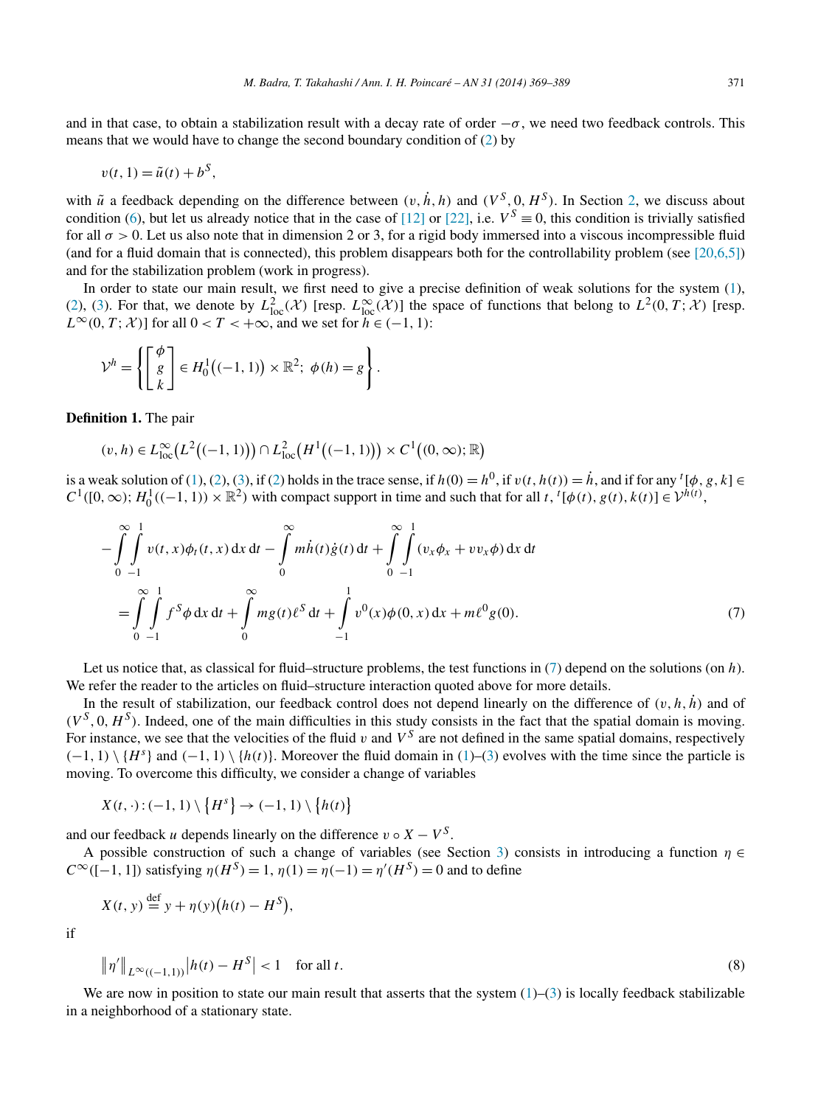<span id="page-2-0"></span>and in that case, to obtain a stabilization result with a decay rate of order  $-\sigma$ , we need two feedback controls. This means that we would have to change the second boundary condition of [\(2\)](#page-1-0) by

$$
v(t, 1) = \tilde{u}(t) + b^S,
$$

with  $\tilde{u}$  a feedback depending on the difference between  $(v, \dot{h}, h)$  and  $(V^S, 0, H^S)$ . In Section [2,](#page-4-0) we discuss about condition [\(6\)](#page-1-0), but let us already notice that in the case of [\[12\]](#page-19-0) or [\[22\],](#page-19-0) i.e.  $V^S \equiv 0$ , this condition is trivially satisfied for all  $\sigma > 0$ . Let us also note that in dimension 2 or 3, for a rigid body immersed into a viscous incompressible fluid (and for a fluid domain that is connected), this problem disappears both for the controllability problem (see  $[20,6,5]$ ) and for the stabilization problem (work in progress).

In order to state our main result, we first need to give a precise definition of weak solutions for the system [\(1\)](#page-1-0), [\(2\)](#page-1-0), [\(3\)](#page-1-0). For that, we denote by  $L^2_{loc}(\mathcal{X})$  [resp.  $L^{\infty}_{loc}(\mathcal{X})$ ] the space of functions that belong to  $L^2(0,T;\mathcal{X})$  [resp.  $L^{\infty}(0, T; \mathcal{X})$  for all  $0 < T < +\infty$ , and we set for  $h \in (-1, 1)$ :

$$
\mathcal{V}^h = \left\{ \begin{bmatrix} \phi \\ g \\ k \end{bmatrix} \in H_0^1((-1, 1)) \times \mathbb{R}^2; \phi(h) = g \right\}.
$$

**Definition 1.** The pair

$$
(v, h) \in L^{\infty}_{loc}(L^{2}((-1, 1))) \cap L^{2}_{loc}(H^{1}((-1, 1))) \times C^{1}((0, \infty); \mathbb{R})
$$

is a weak solution of [\(1\)](#page-1-0), [\(2\)](#page-1-0), [\(3\)](#page-1-0), if (2) holds in the trace sense, if  $h(0) = h^0$ , if  $v(t, h(t)) = \dot{h}$ , and if for any  ${}^t[\phi, g, k] \in$  $C^1([0,\infty); H_0^1((-1,1)) \times \mathbb{R}^2$  with compact support in time and such that for all *t*, <sup>*t*</sup>[ $\phi(t), g(t), k(t)$ ] ∈  $\mathcal{V}^{h(t)}$ ,

$$
-\int_{0}^{\infty}\int_{-1}^{1}v(t,x)\phi_t(t,x) dx dt - \int_{0}^{\infty}m\dot{h}(t)\dot{g}(t) dt + \int_{0}^{\infty}\int_{-1}^{1}(v_x\phi_x + vv_x\phi) dx dt
$$
  
=\int\_{0}^{\infty}\int\_{-1}^{1}f^S\phi dx dt + \int\_{0}^{\infty}mg(t)\ell^{S} dt + \int\_{-1}^{1}v^O(x)\phi(0,x) dx + m\ell^{O}g(0). (7)

Let us notice that, as classical for fluid–structure problems, the test functions in (7) depend on the solutions (on *h*). We refer the reader to the articles on fluid–structure interaction quoted above for more details.

In the result of stabilization, our feedback control does not depend linearly on the difference of  $(v, h, h)$  and of  $(V^S, 0, H^S)$ . Indeed, one of the main difficulties in this study consists in the fact that the spatial domain is moving. For instance, we see that the velocities of the fluid *v* and  $V^S$  are not defined in the same spatial domains, respectively  $(-1, 1) \setminus {H<sup>s</sup>}$  and  $(-1, 1) \setminus {h(t)}$ . Moreover the fluid domain in [\(1\)](#page-1-0)–[\(3\)](#page-1-0) evolves with the time since the particle is moving. To overcome this difficulty, we consider a change of variables

$$
X(t,\cdot):(-1,1)\setminus\left\{H^s\right\}\to(-1,1)\setminus\left\{h(t)\right\}
$$

and our feedback *u* depends linearly on the difference  $v \circ X - V^S$ .

A possible construction of such a change of variables (see Section [3\)](#page-9-0) consists in introducing a function *η* ∈  $C^{\infty}([-1, 1])$  satisfying  $\eta(H^{S}) = 1$ ,  $\eta(1) = \eta(-1) = \eta'(H^{S}) = 0$  and to define

$$
X(t, y) \stackrel{\text{def}}{=} y + \eta(y)(h(t) - H^{S}),
$$

if

$$
\|\eta'\|_{L^{\infty}((-1,1))}|h(t) - H^{S}| < 1 \quad \text{for all } t.
$$
 (8)

We are now in position to state our main result that asserts that the system  $(1)$ – $(3)$  is locally feedback stabilizable in a neighborhood of a stationary state.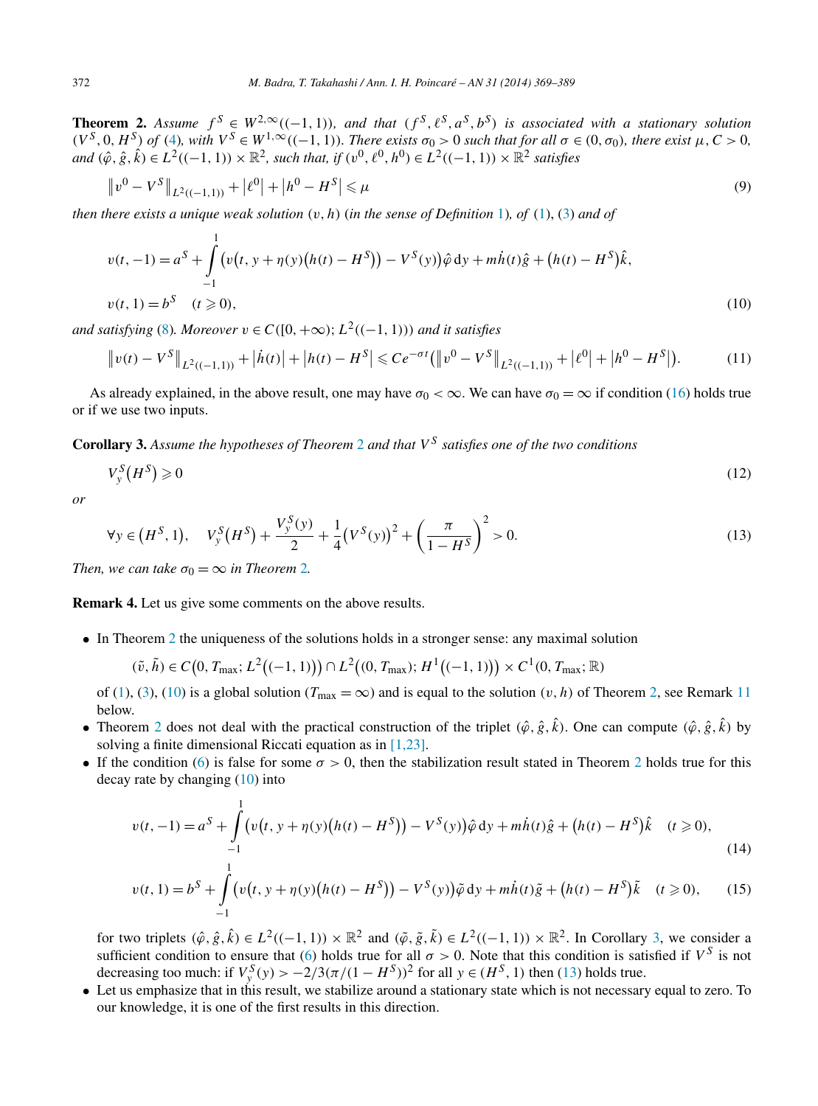<span id="page-3-0"></span>**Theorem 2.** Assume  $f^S \in W^{2,\infty}((-1,1))$ , and that  $(f^S, \ell^S, a^S, b^S)$  is associated with a stationary solution  $(V^S, 0, H^S)$  of [\(4\)](#page-1-0), with  $V^S \in W^{1,\infty}((-1,1))$ . There exists  $\sigma_0 > 0$  such that for all  $\sigma \in (0, \sigma_0)$ , there exist  $\mu, C > 0$ .  $and$   $(\hat{\varphi}, \hat{g}, \hat{k}) \in L^2((-1, 1)) \times \mathbb{R}^2$ , such that, if  $(v^0, \ell^0, h^0) \in L^2((-1, 1)) \times \mathbb{R}^2$  satisfies

$$
\|v^0 - V^S\|_{L^2((-1,1))} + |\ell^0| + |h^0 - H^S| \le \mu
$$
\n(9)

*then there exists a unique weak solution (v,h)* (*in the sense of Definition* [1\)](#page-2-0)*, of* [\(1\)](#page-1-0), [\(3\)](#page-1-0) *and of*

$$
v(t, -1) = aS + \int_{-1}^{1} \left( v(t, y + \eta(y)(h(t) - H^{S})) - V^{S}(y) \right) \hat{\varphi} \, dy + m\dot{h}(t)\hat{g} + (h(t) - H^{S})\hat{k},
$$
  
\n
$$
v(t, 1) = bS \quad (t \ge 0),
$$
\n(10)

*and satisfying* [\(8\)](#page-2-0)*. Moreover*  $v \in C([0, +\infty); L^2((-1, 1))$  *and it satisfies* 

$$
\|v(t) - V^S\|_{L^2((-1,1))} + |\dot{h}(t)| + |h(t) - H^S| \le Ce^{-\sigma t} (\|v^0 - V^S\|_{L^2((-1,1))} + |\ell^0| + |h^0 - H^S|). \tag{11}
$$

As already explained, in the above result, one may have  $\sigma_0 < \infty$ . We can have  $\sigma_0 = \infty$  if condition [\(16\)](#page-4-0) holds true or if we use two inputs.

**Corollary 3.** *Assume the hypotheses of Theorem* 2 *and that V <sup>S</sup> satisfies one of the two conditions*

$$
V_{y}^{S}(H^{S}) \geqslant 0 \tag{12}
$$

*or*

$$
\forall y \in (H^S, 1), \quad V_y^S(H^S) + \frac{V_y^S(y)}{2} + \frac{1}{4}(V^S(y))^2 + \left(\frac{\pi}{1 - H^S}\right)^2 > 0. \tag{13}
$$

*Then, we can take*  $\sigma_0 = \infty$  *in Theorem 2.* 

**Remark 4.** Let us give some comments on the above results.

• In Theorem 2 the uniqueness of the solutions holds in a stronger sense: any maximal solution

$$
(\tilde{v}, \tilde{h}) \in C(0, T_{\max}; L^{2}((-1, 1))) \cap L^{2}((0, T_{\max}); H^{1}((-1, 1))) \times C^{1}(0, T_{\max}; \mathbb{R})
$$

of [\(1\)](#page-1-0), [\(3\)](#page-1-0), (10) is a global solution ( $T_{\text{max}} = \infty$ ) and is equal to the solution  $(v, h)$  of Theorem 2, see Remark [11](#page-11-0) below.

- Theorem 2 does not deal with the practical construction of the triplet  $(\hat{\varphi}, \hat{g}, \hat{k})$ . One can compute  $(\hat{\varphi}, \hat{g}, \hat{k})$  by solving a finite dimensional Riccati equation as in [\[1,23\].](#page-19-0)
- If the condition [\(6\)](#page-1-0) is false for some  $\sigma > 0$ , then the stabilization result stated in Theorem 2 holds true for this decay rate by changing (10) into

$$
v(t, -1) = a^S + \int_{-1}^{1} \left( v(t, y + \eta(y)(h(t) - H^S)) - V^S(y) \right) \hat{\varphi} \, dy + m\dot{h}(t)\hat{g} + \left( h(t) - H^S \right) \hat{k} \quad (t \ge 0),
$$
\n(14)

$$
v(t,1) = b^{S} + \int_{-1}^{t} \left( v(t, y + \eta(y)(h(t) - H^{S})) - V^{S}(y) \right) \tilde{\varphi} \, dy + m\dot{h}(t)\tilde{g} + (h(t) - H^{S})\tilde{k} \quad (t \ge 0), \qquad (15)
$$

for two triplets  $(\hat{\varphi}, \hat{g}, \hat{k}) \in L^2((-1, 1)) \times \mathbb{R}^2$  and  $(\tilde{\varphi}, \tilde{g}, \tilde{k}) \in L^2((-1, 1)) \times \mathbb{R}^2$ . In Corollary 3, we consider a sufficient condition to ensure that [\(6\)](#page-1-0) holds true for all  $\sigma > 0$ . Note that this condition is satisfied if  $V^S$  is not decreasing too much: if  $V_y^S(y) > -2/3(\pi/(1 - H^S))^2$  for all  $y \in (H^S, 1)$  then (13) holds true.

• Let us emphasize that in this result, we stabilize around a stationary state which is not necessary equal to zero. To our knowledge, it is one of the first results in this direction.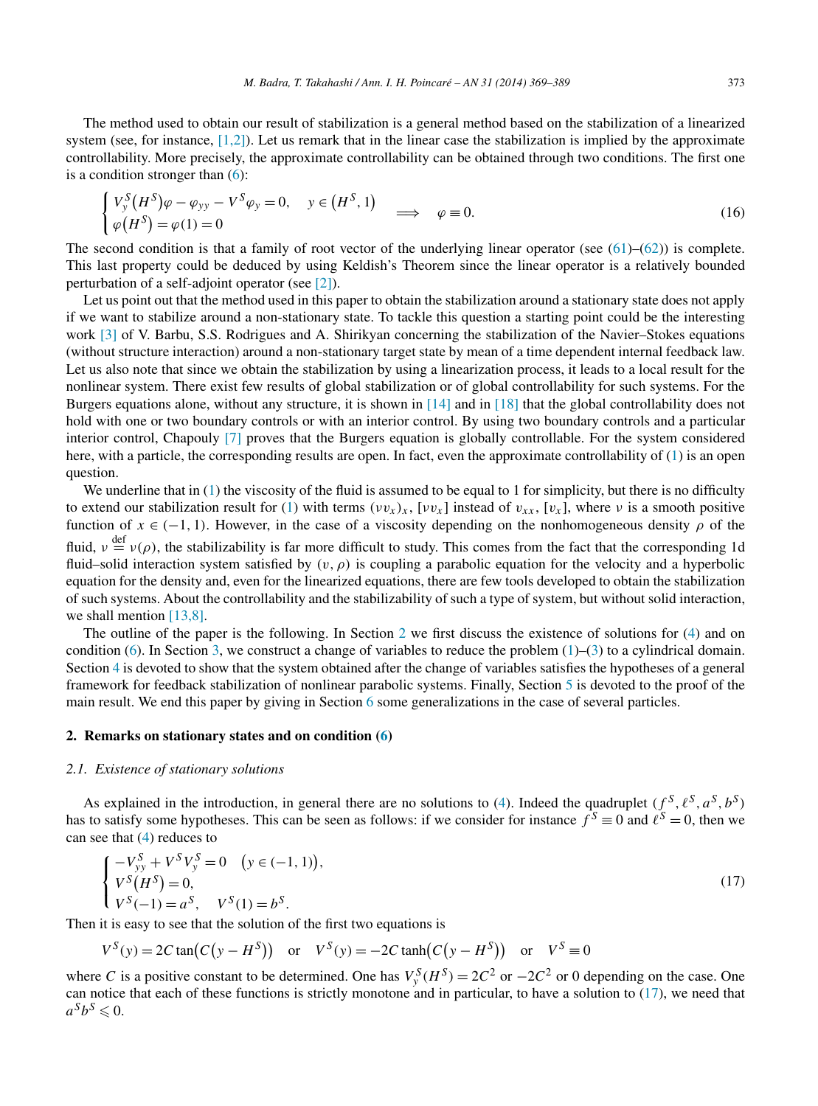<span id="page-4-0"></span>The method used to obtain our result of stabilization is a general method based on the stabilization of a linearized system (see, for instance,  $[1,2]$ ). Let us remark that in the linear case the stabilization is implied by the approximate controllability. More precisely, the approximate controllability can be obtained through two conditions. The first one is a condition stronger than [\(6\)](#page-1-0):

$$
\begin{cases}\nV_y^S(H^S)\varphi - \varphi_{yy} - V^S\varphi_y = 0, & y \in (H^S, 1) \\
\varphi(H^S) = \varphi(1) = 0\n\end{cases} \implies \varphi \equiv 0.
$$
\n(16)

The second condition is that a family of root vector of the underlying linear operator (see  $(61)$ – $(62)$ ) is complete. This last property could be deduced by using Keldish's Theorem since the linear operator is a relatively bounded perturbation of a self-adjoint operator (see [\[2\]\)](#page-19-0).

Let us point out that the method used in this paper to obtain the stabilization around a stationary state does not apply if we want to stabilize around a non-stationary state. To tackle this question a starting point could be the interesting work [\[3\]](#page-19-0) of V. Barbu, S.S. Rodrigues and A. Shirikyan concerning the stabilization of the Navier–Stokes equations (without structure interaction) around a non-stationary target state by mean of a time dependent internal feedback law. Let us also note that since we obtain the stabilization by using a linearization process, it leads to a local result for the nonlinear system. There exist few results of global stabilization or of global controllability for such systems. For the Burgers equations alone, without any structure, it is shown in [\[14\]](#page-19-0) and in [\[18\]](#page-19-0) that the global controllability does not hold with one or two boundary controls or with an interior control. By using two boundary controls and a particular interior control, Chapouly [\[7\]](#page-19-0) proves that the Burgers equation is globally controllable. For the system considered here, with a particle, the corresponding results are open. In fact, even the approximate controllability of [\(1\)](#page-1-0) is an open question.

We underline that in [\(1\)](#page-1-0) the viscosity of the fluid is assumed to be equal to 1 for simplicity, but there is no difficulty to extend our stabilization result for [\(1\)](#page-1-0) with terms  $(vv_x)_x$ ,  $[vv_x]$  instead of  $v_{xx}$ ,  $[v_x]$ , where *v* is a smooth positive function of  $x \in (-1, 1)$ . However, in the case of a viscosity depending on the nonhomogeneous density  $\rho$  of the fluid,  $v \stackrel{\text{def}}{=} v(\rho)$ , the stabilizability is far more difficult to study. This comes from the fact that the corresponding 1d fluid–solid interaction system satisfied by *(v,ρ)* is coupling a parabolic equation for the velocity and a hyperbolic equation for the density and, even for the linearized equations, there are few tools developed to obtain the stabilization of such systems. About the controllability and the stabilizability of such a type of system, but without solid interaction, we shall mention  $[13,8]$ .

The outline of the paper is the following. In Section 2 we first discuss the existence of solutions for [\(4\)](#page-1-0) and on condition [\(6\)](#page-1-0). In Section [3,](#page-9-0) we construct a change of variables to reduce the problem  $(1)$ –[\(3\)](#page-1-0) to a cylindrical domain. Section [4](#page-11-0) is devoted to show that the system obtained after the change of variables satisfies the hypotheses of a general framework for feedback stabilization of nonlinear parabolic systems. Finally, Section [5](#page-15-0) is devoted to the proof of the main result. We end this paper by giving in Section [6](#page-18-0) some generalizations in the case of several particles.

#### **2. Remarks on stationary states and on condition [\(6\)](#page-1-0)**

## *2.1. Existence of stationary solutions*

As explained in the introduction, in general there are no solutions to [\(4\)](#page-1-0). Indeed the quadruplet  $(f^S, \ell^S, a^S, b^S)$ has to satisfy some hypotheses. This can be seen as follows: if we consider for instance  $f^S \equiv 0$  and  $\ell^S = 0$ , then we can see that [\(4\)](#page-1-0) reduces to

$$
\begin{cases}\n-V_{yy}^S + V^S V_y^S = 0 \quad (y \in (-1, 1)), \\
V^S (H^S) = 0, \\
V^S (-1) = a^S, \quad V^S (1) = b^S.\n\end{cases}
$$
\n(17)

Then it is easy to see that the solution of the first two equations is

$$
V^{S}(y) = 2C \tan(C(y - H^{S})) \quad \text{or} \quad V^{S}(y) = -2C \tanh(C(y - H^{S})) \quad \text{or} \quad V^{S} \equiv 0
$$

where *C* is a positive constant to be determined. One has  $V_y^S(H^S) = 2C^2$  or  $-2C^2$  or 0 depending on the case. One can notice that each of these functions is strictly monotone and in particular, to have a solution to  $(17)$ , we need that  $a^Sb^S \leq 0$ .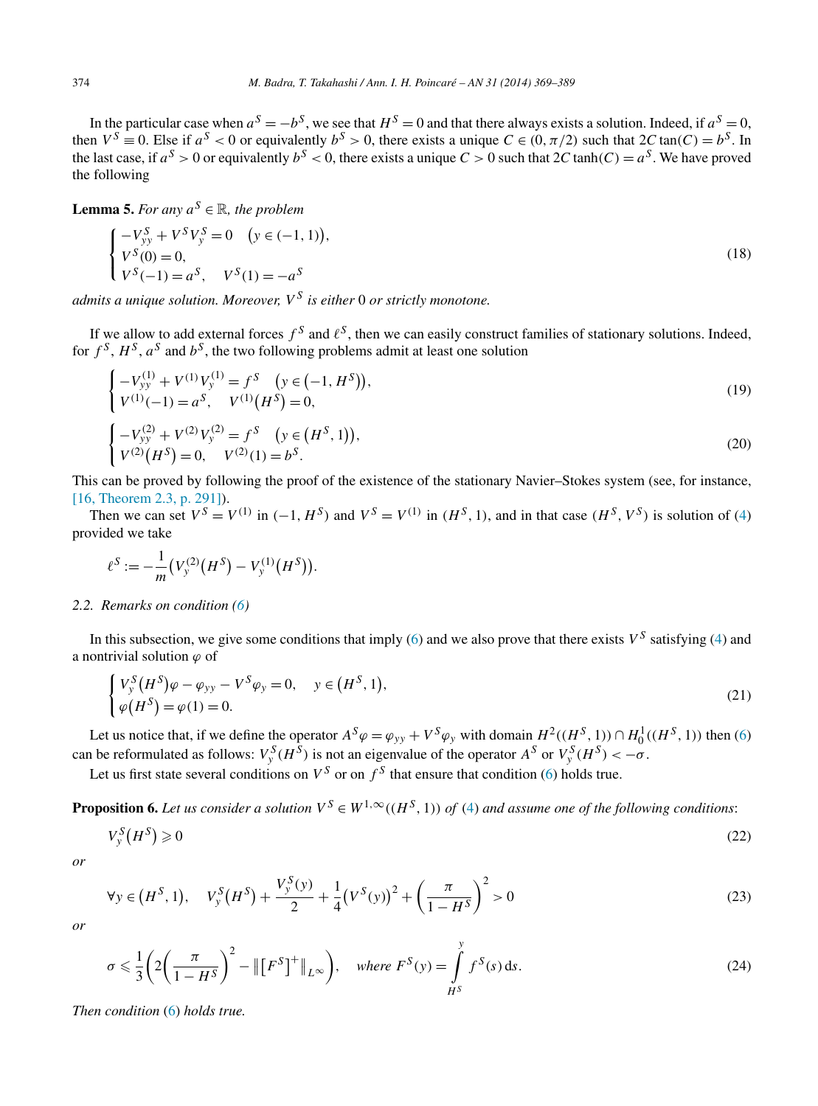<span id="page-5-0"></span>In the particular case when  $a^S = -b^S$ , we see that  $H^S = 0$  and that there always exists a solution. Indeed, if  $a^S = 0$ , then  $V^S \equiv 0$ . Else if  $a^S < 0$  or equivalently  $b^S > 0$ , there exists a unique  $C \in (0, \pi/2)$  such that  $2C \tan(C) = b^S$ . In the last case, if  $a^S > 0$  or equivalently  $b^S < 0$ , there exists a unique  $C > 0$  such that  $2C \tanh(C) = a^S$ . We have proved the following

**Lemma 5.** *For any*  $a^S \in \mathbb{R}$ *, the problem* 

$$
\begin{cases}\n-V_{yy}^S + V^S V_y^S = 0 \quad (y \in (-1, 1)), \\
V^S(0) = 0, \\
V^S(-1) = a^S, \quad V^S(1) = -a^S\n\end{cases}
$$
\n(18)

*admits a unique solution. Moreover, V <sup>S</sup> is either* 0 *or strictly monotone.*

If we allow to add external forces  $f^S$  and  $\ell^S$ , then we can easily construct families of stationary solutions. Indeed, for  $f^S$ ,  $H^S$ ,  $a^S$  and  $b^S$ , the two following problems admit at least one solution

$$
\begin{cases}\n-V_{yy}^{(1)} + V^{(1)}V_{y}^{(1)} = f^{S} & (y \in (-1, H^{S})), \\
V^{(1)}(-1) = a^{S}, & V^{(1)}(H^{S}) = 0,\n\end{cases}
$$
\n(19)

$$
\begin{cases}\n-V_{yy}^{(2)} + V^{(2)}V_{y}^{(2)} = f^{S} & (y \in (H^{S}, 1)), \\
V^{(2)}(H^{S}) = 0, \quad V^{(2)}(1) = b^{S}.\n\end{cases}
$$
\n(20)

This can be proved by following the proof of the existence of the stationary Navier–Stokes system (see, for instance, [\[16, Theorem 2.3, p. 291\]\)](#page-19-0).

Then we can set  $V^S = V^{(1)}$  in  $(-1, H^S)$  and  $V^S = V^{(1)}$  in  $(H^S, 1)$ , and in that case  $(H^S, V^S)$  is solution of [\(4\)](#page-1-0) provided we take

$$
\ell^{S} := -\frac{1}{m} \big( V_{y}^{(2)}(H^{S}) - V_{y}^{(1)}(H^{S}) \big).
$$

## *2.2. Remarks on condition [\(6\)](#page-1-0)*

In this subsection, we give some conditions that imply [\(6\)](#page-1-0) and we also prove that there exists  $V^S$  satisfying [\(4\)](#page-1-0) and a nontrivial solution *ϕ* of

$$
\begin{cases}\nV_{y}^{S}(H^{S})\varphi - \varphi_{yy} - V^{S}\varphi_{y} = 0, & y \in (H^{S}, 1), \\
\varphi(H^{S}) = \varphi(1) = 0.\n\end{cases}
$$
\n(21)

Let us notice that, if we define the operator  $A^S \varphi = \varphi_{yy} + V^S \varphi_y$  with domain  $H^2((H^S, 1)) \cap H_0^1((H^S, 1))$  then [\(6\)](#page-1-0) can be reformulated as follows:  $V_y^S(H^S)$  is not an eigenvalue of the operator  $A^S$  or  $V_y^S(H^S) < -\sigma$ .

Let us first state several conditions on  $V^S$  or on  $f^S$  that ensure that condition [\(6\)](#page-1-0) holds true.

**Proposition 6.** Let us consider a solution  $V^S \in W^{1,\infty}((H^S, 1))$  of [\(4\)](#page-1-0) and assume one of the following conditions:

$$
V_{y}^{S}(H^{S}) \geqslant 0 \tag{22}
$$

*or*

$$
\forall y \in (H^S, 1), \quad V_y^S(H^S) + \frac{V_y^S(y)}{2} + \frac{1}{4}(V^S(y))^2 + \left(\frac{\pi}{1 - H^S}\right)^2 > 0 \tag{23}
$$

*or*

$$
\sigma \leq \frac{1}{3} \left( 2 \left( \frac{\pi}{1 - H^S} \right)^2 - \| \left[ F^S \right]^+ \|_{L^\infty} \right), \quad \text{where } F^S(y) = \int_{H^S}^y f^S(s) \, ds. \tag{24}
$$

*Then condition* [\(6\)](#page-1-0) *holds true.*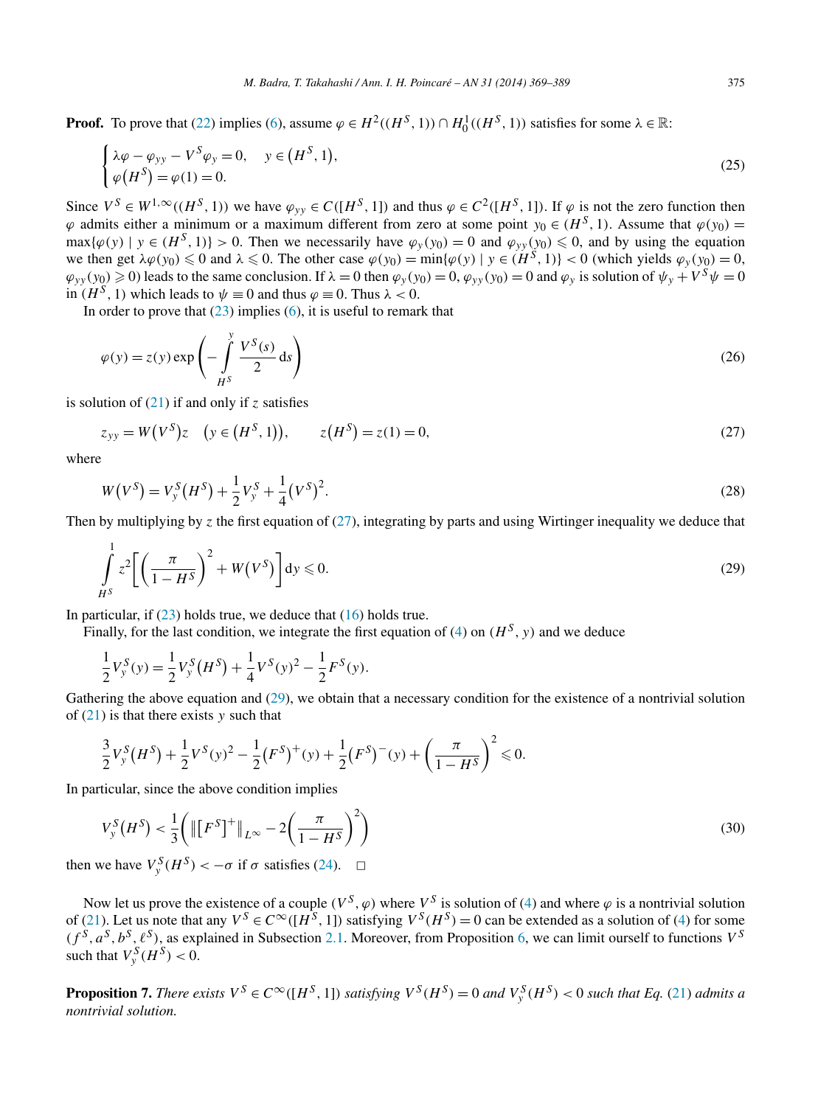<span id="page-6-0"></span>**Proof.** To prove that [\(22\)](#page-5-0) implies [\(6\)](#page-1-0), assume  $\varphi \in H^2((H^S, 1)) \cap H_0^1((H^S, 1))$  satisfies for some  $\lambda \in \mathbb{R}$ :

$$
\begin{cases}\n\lambda \varphi - \varphi_{yy} - V^S \varphi_y = 0, & y \in (H^S, 1), \\
\varphi(H^S) = \varphi(1) = 0.\n\end{cases}
$$
\n(25)

Since  $V^S \in W^{1,\infty}((H^S, 1))$  we have  $\varphi_{vv} \in C([H^S, 1])$  and thus  $\varphi \in C^2([H^S, 1])$ . If  $\varphi$  is not the zero function then  $\varphi$  admits either a minimum or a maximum different from zero at some point  $y_0 \in (H^S, 1)$ . Assume that  $\varphi(y_0)$  =  $\max{\{\varphi(y) \mid y \in (H^S, 1)\}} > 0$ . Then we necessarily have  $\varphi_y(y_0) = 0$  and  $\varphi_{yy}(y_0) \le 0$ , and by using the equation we then get  $\lambda \varphi(y_0) \leq 0$  and  $\lambda \leq 0$ . The other case  $\varphi(y_0) = \min{\varphi(y) \mid y \in (H^S, 1)} < 0$  (which yields  $\varphi_y(y_0) = 0$ ,  $\varphi_{yy}(y_0) \ge 0$ ) leads to the same conclusion. If  $\lambda = 0$  then  $\varphi_y(y_0) = 0$ ,  $\varphi_{yy}(y_0) = 0$  and  $\varphi_y$  is solution of  $\psi_y + V^S \psi = 0$ in  $(H^S, 1)$  which leads to  $\psi \equiv 0$  and thus  $\varphi \equiv 0$ . Thus  $\lambda < 0$ .

In order to prove that  $(23)$  implies  $(6)$ , it is useful to remark that

$$
\varphi(y) = z(y) \exp\left(-\int\limits_{H^S}^y \frac{V^S(s)}{2} \, ds\right) \tag{26}
$$

is solution of [\(21\)](#page-5-0) if and only if *z* satisfies

$$
z_{yy} = W(V^S)z \quad (y \in (H^S, 1)), \qquad z(H^S) = z(1) = 0,
$$
\n(27)

where

$$
W(VS) = VyS (HS) + \frac{1}{2} VyS + \frac{1}{4} (VS)2.
$$
 (28)

Then by multiplying by  $\zeta$  the first equation of (27), integrating by parts and using Wirtinger inequality we deduce that

$$
\int_{H^S} \left[ z^2 \left[ \left( \frac{\pi}{1 - H^S} \right)^2 + W(V^S) \right] dy \leq 0. \tag{29}
$$

In particular, if [\(23\)](#page-5-0) holds true, we deduce that [\(16\)](#page-4-0) holds true.

Finally, for the last condition, we integrate the first equation of [\(4\)](#page-1-0) on  $(H^S, y)$  and we deduce

$$
\frac{1}{2}V_{y}^{S}(y) = \frac{1}{2}V_{y}^{S}(H^{S}) + \frac{1}{4}V^{S}(y)^{2} - \frac{1}{2}F^{S}(y).
$$

Gathering the above equation and (29), we obtain that a necessary condition for the existence of a nontrivial solution of [\(21\)](#page-5-0) is that there exists *y* such that

$$
\frac{3}{2}V_{y}^{S}(H^{S}) + \frac{1}{2}V^{S}(y)^{2} - \frac{1}{2}(F^{S})^{+}(y) + \frac{1}{2}(F^{S})^{-}(y) + \left(\frac{\pi}{1 - H^{S}}\right)^{2} \leq 0.
$$

In particular, since the above condition implies

$$
V_{y}^{S}(H^{S}) < \frac{1}{3} \left( \left\| \left[ F^{S} \right]^{+} \right\|_{L^{\infty}} - 2 \left( \frac{\pi}{1 - H^{S}} \right)^{2} \right)
$$
\n(30)

then we have  $V_y^S(H^S) < -\sigma$  if  $\sigma$  satisfies [\(24\)](#page-5-0).  $\Box$ 

Now let us prove the existence of a couple  $(V^S, \varphi)$  where  $V^S$  is solution of [\(4\)](#page-1-0) and where  $\varphi$  is a nontrivial solution of [\(21\)](#page-5-0). Let us note that any  $V^S \in C^\infty([H^S, 1])$  satisfying  $V^S(H^S) = 0$  can be extended as a solution of [\(4\)](#page-1-0) for some  $(f^{\tilde{S}}, a^S, b^S, \ell^S)$ , as explained in Subsection [2.1.](#page-4-0) Moreover, from Proposition [6,](#page-5-0) we can limit ourself to functions  $V^S$ such that  $V_y^S(H^S) < 0$ .

**Proposition 7.** There exists  $V^S \in C^\infty([H^S, 1])$  satisfying  $V^S(H^S) = 0$  and  $V^S_y(H^S) < 0$  such that Eq. [\(21\)](#page-5-0) admits a *nontrivial solution.*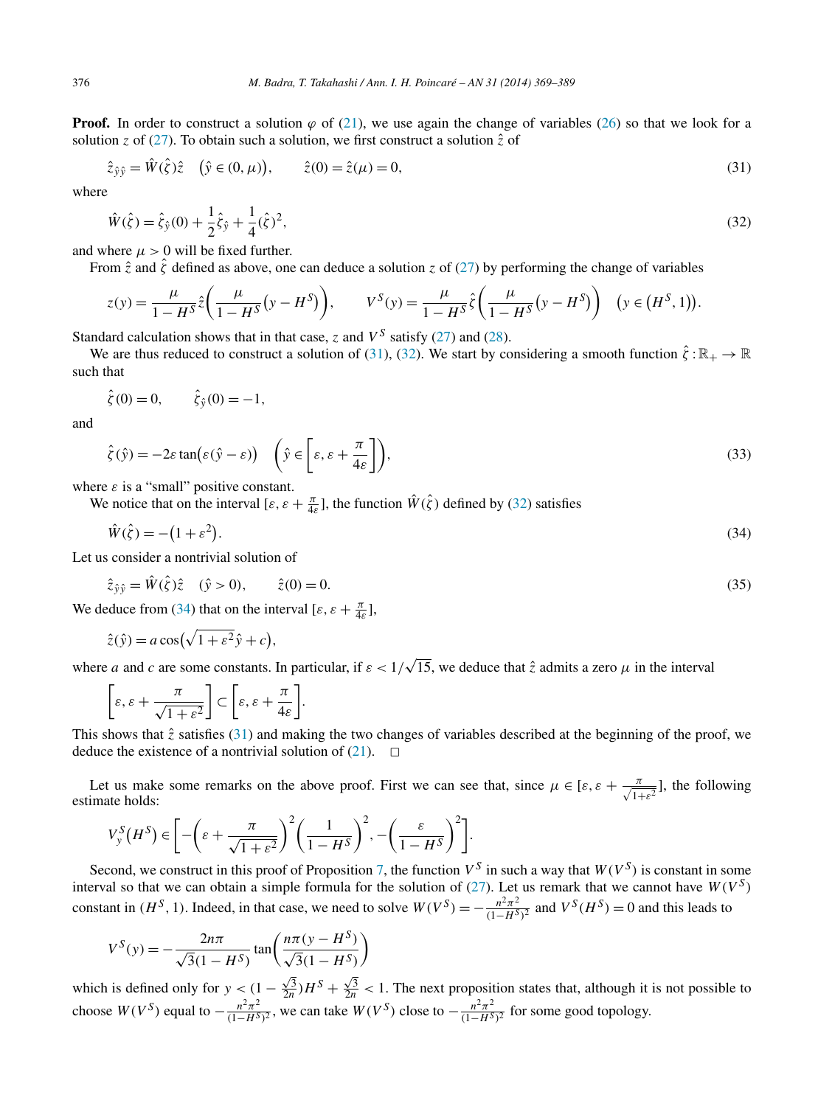**Proof.** In order to construct a solution  $\varphi$  of [\(21\)](#page-5-0), we use again the change of variables [\(26\)](#page-6-0) so that we look for a solution *z* of [\(27\)](#page-6-0). To obtain such a solution, we first construct a solution  $\hat{z}$  of

$$
\hat{z}_{\hat{y}\hat{y}} = \hat{W}(\hat{\zeta})\hat{z} \quad (\hat{y} \in (0, \mu)), \qquad \hat{z}(0) = \hat{z}(\mu) = 0,
$$
\n(31)

where

$$
\hat{W}(\hat{\zeta}) = \hat{\zeta}_{\hat{y}}(0) + \frac{1}{2}\hat{\zeta}_{\hat{y}} + \frac{1}{4}(\hat{\zeta})^2,\tag{32}
$$

and where  $\mu > 0$  will be fixed further.

From  $\hat{z}$  and  $\hat{\zeta}$  defined as above, one can deduce a solution *z* of [\(27\)](#page-6-0) by performing the change of variables

$$
z(y) = \frac{\mu}{1 - H^S} \hat{z} \left( \frac{\mu}{1 - H^S} (y - H^S) \right), \qquad V^S(y) = \frac{\mu}{1 - H^S} \hat{\zeta} \left( \frac{\mu}{1 - H^S} (y - H^S) \right) \quad (y \in (H^S, 1)).
$$

Standard calculation shows that in that case,  $\zeta$  and  $V^S$  satisfy [\(27\)](#page-6-0) and [\(28\)](#page-6-0).

We are thus reduced to construct a solution of (31), (32). We start by considering a smooth function  $\hat{\zeta} : \mathbb{R}_+ \to \mathbb{R}$ such that

$$
\hat{\zeta}(0) = 0, \qquad \hat{\zeta}_{\hat{y}}(0) = -1,
$$

and

$$
\hat{\zeta}(\hat{y}) = -2\varepsilon \tan(\varepsilon(\hat{y} - \varepsilon)) \quad \left(\hat{y} \in \left[\varepsilon, \varepsilon + \frac{\pi}{4\varepsilon}\right]\right),\tag{33}
$$

where  $\varepsilon$  is a "small" positive constant.

We notice that on the interval  $[\varepsilon, \varepsilon + \frac{\pi}{4\varepsilon}]$ , the function  $\hat{W}(\hat{\zeta})$  defined by (32) satisfies

$$
\hat{W}(\hat{\zeta}) = -\left(1 + \varepsilon^2\right). \tag{34}
$$

Let us consider a nontrivial solution of

$$
\hat{z}_{\hat{y}\hat{y}} = \hat{W}(\hat{\zeta})\hat{z} \quad (\hat{y} > 0), \qquad \hat{z}(0) = 0. \tag{35}
$$

We deduce from (34) that on the interval  $[\varepsilon, \varepsilon + \frac{\pi}{4\varepsilon}]$ ,

$$
\hat{z}(\hat{y}) = a\cos(\sqrt{1+\varepsilon^2}\hat{y} + c),
$$

where *a* and *c* are some constants. In particular, if  $\varepsilon < 1/\sqrt{15}$ , we deduce that  $\hat{z}$  admits a zero  $\mu$  in the interval

$$
\[\varepsilon,\varepsilon+\frac{\pi}{\sqrt{1+\varepsilon^2}}\]\subset\bigg[\varepsilon,\varepsilon+\frac{\pi}{4\varepsilon}\bigg].
$$

This shows that  $\hat{z}$  satisfies (31) and making the two changes of variables described at the beginning of the proof, we deduce the existence of a nontrivial solution of  $(21)$ .  $\Box$ 

Let us make some remarks on the above proof. First we can see that, since  $\mu \in [\varepsilon, \varepsilon + \frac{\pi}{\sqrt{1+\varepsilon^2}}]$ , the following estimate holds:

$$
V_{y}^{S}(H^{S}) \in \left[ -\left(\varepsilon + \frac{\pi}{\sqrt{1+\varepsilon^{2}}} \right)^{2} \left(\frac{1}{1-H^{S}}\right)^{2}, -\left(\frac{\varepsilon}{1-H^{S}}\right)^{2} \right].
$$

Second, we construct in this proof of Proposition [7,](#page-6-0) the function  $V^S$  in such a way that  $W(V^S)$  is constant in some interval so that we can obtain a simple formula for the solution of  $(27)$ . Let us remark that we cannot have  $W(V^S)$ constant in  $(H^S, 1)$ . Indeed, in that case, we need to solve  $W(V^S) = -\frac{n^2\pi^2}{(1-H^S)^2}$  and  $V^S(H^S) = 0$  and this leads to

$$
V^{S}(y) = -\frac{2n\pi}{\sqrt{3}(1 - H^{S})} \tan\left(\frac{n\pi(y - H^{S})}{\sqrt{3}(1 - H^{S})}\right)
$$

which is defined only for  $y < (1 - \frac{\sqrt{3}}{2n})H^S + \frac{\sqrt{3}}{2n} < 1$ . The next proposition states that, although it is not possible to choose  $W(V^S)$  equal to  $-\frac{n^2\pi^2}{(1-H^S)^2}$ , we can take  $W(V^S)$  close to  $-\frac{n^2\pi^2}{(1-H^S)^2}$  for some good topology.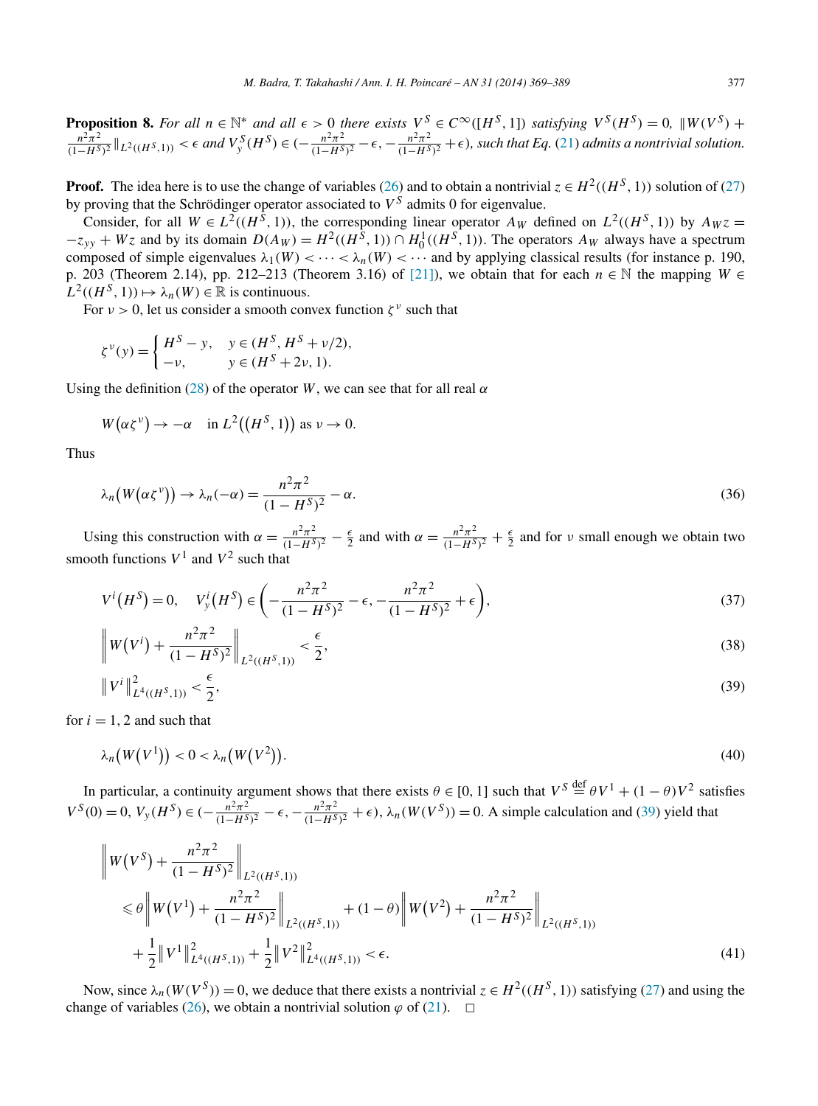**Proposition 8.** For all  $n \in \mathbb{N}^*$  and all  $\epsilon > 0$  there exists  $V^S \in C^\infty([H^S, 1])$  satisfying  $V^S(H^S) = 0$ ,  $\|W(V^S) + W^S(H^S) \|$  $\frac{n^2\pi^2}{(1-H^S)^2}\|_{L^2((H^S,1))} < \epsilon$  and  $V_y^S(H^S) \in (-\frac{n^2\pi^2}{(1-H^S)^2} - \epsilon, -\frac{n^2\pi^2}{(1-H^S)^2} + \epsilon)$ , such that Eq. [\(21\)](#page-5-0) admits a nontrivial solution.

**Proof.** The idea here is to use the change of variables [\(26\)](#page-6-0) and to obtain a nontrivial  $z \in H^2((H^S, 1))$  solution of [\(27\)](#page-6-0) by proving that the Schrödinger operator associated to  $V^S$  admits 0 for eigenvalue.

Consider, for all  $W \in L^2((H^{\tilde{S}}, 1))$ , the corresponding linear operator  $A_W$  defined on  $L^2((H^{\tilde{S}}, 1))$  by  $A_W z =$  $-z_{yy} + Wz$  and by its domain  $D(A_W) = H^2((H^S, 1)) \cap H_0^1((H^S, 1))$ . The operators  $A_W$  always have a spectrum composed of simple eigenvalues  $\lambda_1(W) < \cdots < \lambda_n(W) < \cdots$  and by applying classical results (for instance p. 190, p. 203 (Theorem 2.14), pp. 212–213 (Theorem 3.16) of [\[21\]\)](#page-19-0), we obtain that for each *n* ∈ N the mapping *W* ∈  $L^2((H^S, 1)) \mapsto \lambda_n(W) \in \mathbb{R}$  is continuous.

For  $\nu > 0$ , let us consider a smooth convex function  $\zeta^{\nu}$  such that

$$
\zeta^{\nu}(y) = \begin{cases} H^S - y, & y \in (H^S, H^S + \nu/2), \\ -\nu, & y \in (H^S + 2\nu, 1). \end{cases}
$$

Using the definition [\(28\)](#page-6-0) of the operator *W*, we can see that for all real  $\alpha$ 

$$
W(\alpha \zeta^{\nu}) \to -\alpha \quad \text{in } L^2((H^S, 1)) \text{ as } \nu \to 0.
$$

Thus

$$
\lambda_n\big(W(\alpha\zeta^{\nu})\big) \to \lambda_n(-\alpha) = \frac{n^2\pi^2}{(1-H^S)^2} - \alpha.
$$
\n(36)

Using this construction with  $\alpha = \frac{n^2 \pi^2}{(1 - H^S)^2} - \frac{\epsilon}{2}$  and with  $\alpha = \frac{n^2 \pi^2}{(1 - H^S)^2} + \frac{\epsilon}{2}$  and for v small enough we obtain two smooth functions  $V^1$  and  $V^2$  such that

$$
V^{i}(H^{S}) = 0, \quad V_{y}^{i}(H^{S}) \in \left(-\frac{n^{2}\pi^{2}}{(1 - H^{S})^{2}} - \epsilon, -\frac{n^{2}\pi^{2}}{(1 - H^{S})^{2}} + \epsilon\right),\tag{37}
$$

$$
\left\|W(V^{i}) + \frac{n^{2}\pi^{2}}{(1 - H^{S})^{2}}\right\|_{L^{2}((H^{S}, 1))} < \frac{\epsilon}{2},
$$
\n(38)

$$
\|V^i\|_{L^4((H^S,1))}^2 < \frac{\epsilon}{2},\tag{39}
$$

for  $i = 1, 2$  and such that

$$
\lambda_n\big(W\big(V^1\big)\big)<0<\lambda_n\big(W\big(V^2\big)\big). \tag{40}
$$

In particular, a continuity argument shows that there exists  $\theta \in [0, 1]$  such that  $V^S \stackrel{\text{def}}{=} \theta V^1 + (1 - \theta) V^2$  satisfies  $V^S(0) = 0$ ,  $V_y(H^S) \in (-\frac{n^2\pi^2}{(1-H^S)^2} - \epsilon, -\frac{n^2\pi^2}{(1-H^S)^2} + \epsilon)$ ,  $\lambda_n(W(V^S)) = 0$ . A simple calculation and (39) yield that

$$
\|W(V^{S}) + \frac{n^{2}\pi^{2}}{(1 - H^{S})^{2}}\|_{L^{2}((H^{S},1))}
$$
\n
$$
\leq \theta \|W(V^{1}) + \frac{n^{2}\pi^{2}}{(1 - H^{S})^{2}}\|_{L^{2}((H^{S},1))} + (1 - \theta)\|W(V^{2}) + \frac{n^{2}\pi^{2}}{(1 - H^{S})^{2}}\|_{L^{2}((H^{S},1))}
$$
\n
$$
+ \frac{1}{2} \|V^{1}\|_{L^{4}((H^{S},1))}^{2} + \frac{1}{2} \|V^{2}\|_{L^{4}((H^{S},1))}^{2} < \epsilon.
$$
\n(41)

Now, since  $\lambda_n(W(V^S)) = 0$ , we deduce that there exists a nontrivial  $z \in H^2((H^S, 1))$  satisfying [\(27\)](#page-6-0) and using the change of variables [\(26\)](#page-6-0), we obtain a nontrivial solution  $\varphi$  of [\(21\)](#page-5-0).  $\Box$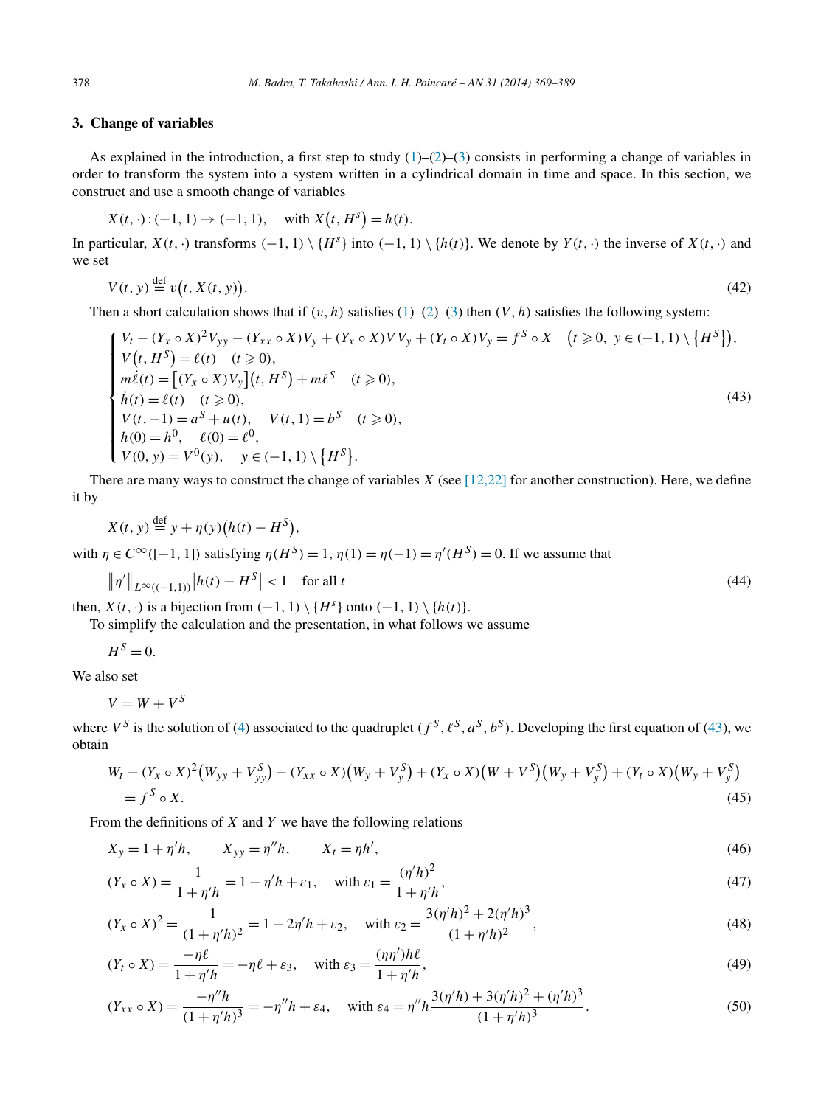# <span id="page-9-0"></span>**3. Change of variables**

As explained in the introduction, a first step to study  $(1)$ – $(2)$ – $(3)$  consists in performing a change of variables in order to transform the system into a system written in a cylindrical domain in time and space. In this section, we construct and use a smooth change of variables

 $X(t, \cdot): (-1, 1) \to (-1, 1), \text{ with } X(t, H^s) = h(t).$ 

In particular,  $X(t, \cdot)$  transforms  $(-1, 1) \setminus \{H^s\}$  into  $(-1, 1) \setminus \{h(t)\}$ . We denote by  $Y(t, \cdot)$  the inverse of  $X(t, \cdot)$  and we set

$$
V(t, y) \stackrel{\text{def}}{=} v(t, X(t, y)). \tag{42}
$$

Then a short calculation shows that if  $(v, h)$  satisfies [\(1\)](#page-1-0)–[\(2\)](#page-1-0)–[\(3\)](#page-1-0) then  $(V, h)$  satisfies the following system:

$$
\begin{cases}\nV_t - (Y_x \circ X)^2 V_{yy} - (Y_{xx} \circ X) V_y + (Y_x \circ X) V V_y + (Y_t \circ X) V_y = f^S \circ X & (t \ge 0, \ y \in (-1, 1) \setminus \{H^S\}), \\
V(t, H^S) = \ell(t) & (t \ge 0), \\
m\ell(t) = \left[ (Y_x \circ X) V_y \right](t, H^S) + m\ell^S & (t \ge 0), \\
\dot{h}(t) = \ell(t) & (t \ge 0), \\
V(t, -1) = a^S + u(t), \quad V(t, 1) = b^S & (t \ge 0), \\
h(0) = h^0, \quad \ell(0) = \ell^0, \\
V(0, y) = V^0(y), \quad y \in (-1, 1) \setminus \{H^S\}.\n\end{cases} \tag{43}
$$

There are many ways to construct the change of variables *X* (see [\[12,22\]](#page-19-0) for another construction). Here, we define it by

$$
X(t, y) \stackrel{\text{def}}{=} y + \eta(y)(h(t) - H^S),
$$
  
with  $\eta \in C^\infty([-1, 1])$  satisfying  $\eta(H^S) = 1$ ,  $\eta(1) = \eta(-1) = \eta'(H^S) = 0$ . If we assume that

$$
\|\eta'\|_{L^{\infty}((-1,1))}|h(t) - H^{S}| < 1 \quad \text{for all } t
$$
\n(44)

then,  $X(t, \cdot)$  is a bijection from  $(-1, 1) \setminus \{H^s\}$  onto  $(-1, 1) \setminus \{h(t)\}.$ 

To simplify the calculation and the presentation, in what follows we assume

 $H^S = 0$ .

We also set

 $V = W + V^{S}$ 

where  $V^S$  is the solution of [\(4\)](#page-1-0) associated to the quadruplet  $(f^S, \ell^S, a^S, b^S)$ . Developing the first equation of (43), we obtain

$$
W_t - (Y_x \circ X)^2 (W_{yy} + V_{yy}^S) - (Y_{xx} \circ X)(W_y + V_y^S) + (Y_x \circ X)(W + V^S)(W_y + V_y^S) + (Y_t \circ X)(W_y + V_y^S) = f^S \circ X.
$$
\n(45)

From the definitions of *X* and *Y* we have the following relations

$$
X_{y} = 1 + \eta'h, \t X_{yy} = \eta''h, \t X_{t} = \eta h', \t (46)
$$

$$
(Y_x \circ X) = \frac{1}{1 + \eta'h} = 1 - \eta'h + \varepsilon_1, \quad \text{with } \varepsilon_1 = \frac{(\eta'h)^2}{1 + \eta'h},\tag{47}
$$

$$
(Y_x \circ X)^2 = \frac{1}{(1 + \eta'h)^2} = 1 - 2\eta'h + \varepsilon_2, \quad \text{with } \varepsilon_2 = \frac{3(\eta'h)^2 + 2(\eta'h)^3}{(1 + \eta'h)^2},
$$
\n
$$
(48)
$$

$$
(Y_t \circ X) = \frac{-\eta \ell}{1 + \eta' h} = -\eta \ell + \varepsilon_3, \quad \text{with } \varepsilon_3 = \frac{(\eta \eta') h \ell}{1 + \eta' h},\tag{49}
$$

$$
(Y_{xx} \circ X) = \frac{-\eta'' h}{(1 + \eta' h)^3} = -\eta'' h + \varepsilon_4, \quad \text{with } \varepsilon_4 = \eta'' h \frac{3(\eta' h) + 3(\eta' h)^2 + (\eta' h)^3}{(1 + \eta' h)^3}.
$$
 (50)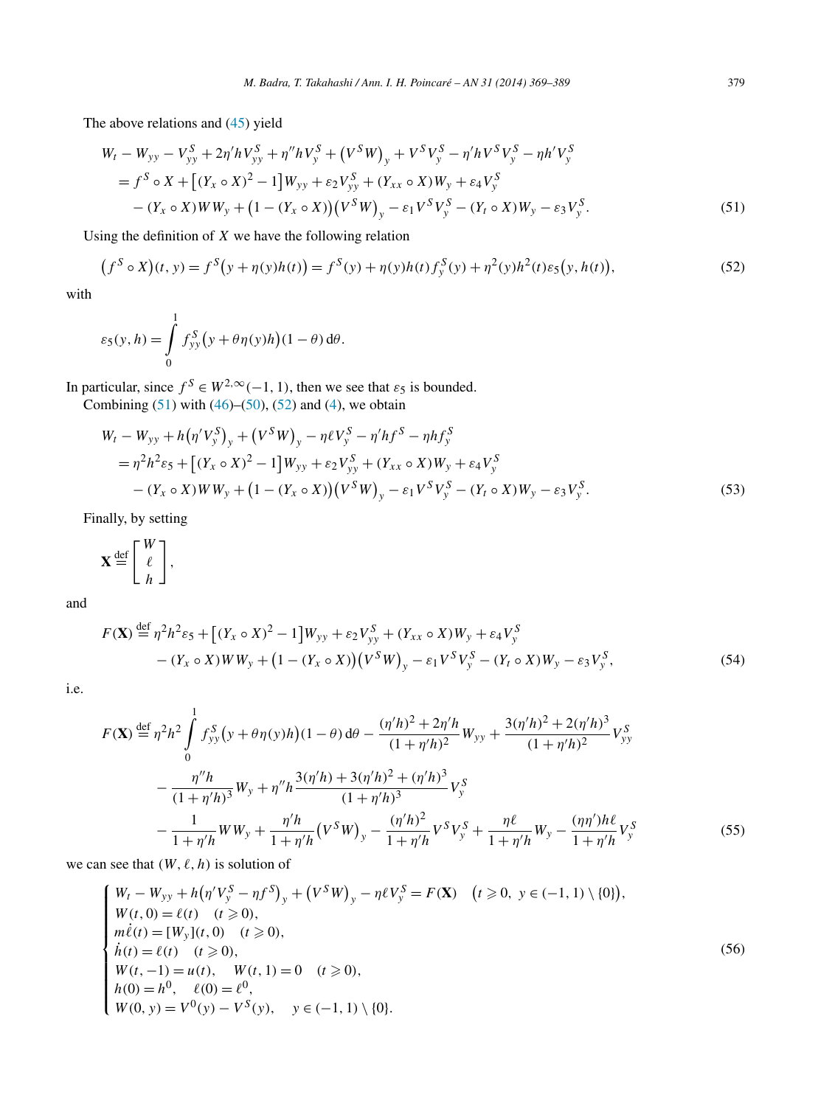<span id="page-10-0"></span>The above relations and [\(45\)](#page-9-0) yield

$$
W_t - W_{yy} - V_{yy}^S + 2\eta' h V_{yy}^S + \eta'' h V_y^S + (V^S W)_y + V^S V_y^S - \eta' h V^S V_y^S - \eta h' V_y^S
$$
  
=  $f^S \circ X + [(Y_x \circ X)^2 - 1] W_{yy} + \varepsilon_2 V_{yy}^S + (Y_{xx} \circ X) W_y + \varepsilon_4 V_y^S$   
-  $(Y_x \circ X) W W_y + (1 - (Y_x \circ X)) (V^S W)_y - \varepsilon_1 V^S V_y^S - (Y_t \circ X) W_y - \varepsilon_3 V_y^S.$  (51)

Using the definition of *X* we have the following relation

$$
(f^{S} \circ X)(t, y) = f^{S}(y + \eta(y)h(t)) = f^{S}(y) + \eta(y)h(t)f_{y}^{S}(y) + \eta^{2}(y)h^{2}(t)\varepsilon_{5}(y, h(t)),
$$
\n(52)

with

$$
\varepsilon_5(y, h) = \int_0^1 f_{yy}^S(y + \theta \eta(y)h)(1 - \theta) d\theta.
$$

In particular, since  $f^S \in W^{2,\infty}(-1, 1)$ , then we see that  $\varepsilon_5$  is bounded.

Combining  $(51)$  with  $(46)$ – $(50)$ ,  $(52)$  and  $(4)$ , we obtain

$$
W_t - W_{yy} + h(\eta' V_y^S)_y + (V^S W)_y - \eta \ell V_y^S - \eta' h f^S - \eta h f_y^S
$$
  
=  $\eta^2 h^2 \varepsilon_5 + [(Y_x \circ X)^2 - 1] W_{yy} + \varepsilon_2 V_{yy}^S + (Y_{xx} \circ X) W_y + \varepsilon_4 V_y^S$   
–  $(Y_x \circ X) W W_y + (1 - (Y_x \circ X)) (V^S W)_y - \varepsilon_1 V^S V_y^S - (Y_t \circ X) W_y - \varepsilon_3 V_y^S.$  (53)

Finally, by setting

$$
\mathbf{X} \stackrel{\text{def}}{=} \left[ \begin{array}{c} W \\ \ell \\ h \end{array} \right],
$$

and

$$
F(\mathbf{X}) \stackrel{\text{def}}{=} \eta^2 h^2 \varepsilon_5 + \left[ (Y_x \circ X)^2 - 1 \right] W_{yy} + \varepsilon_2 V_{yy}^S + (Y_{xx} \circ X) W_y + \varepsilon_4 V_y^S - (Y_x \circ X) W W_y + \left( 1 - (Y_x \circ X) \right) \left( V^S W \right)_y - \varepsilon_1 V^S V_y^S - (Y_t \circ X) W_y - \varepsilon_3 V_y^S,
$$
(54)

i.e.

$$
F(\mathbf{X}) \stackrel{\text{def}}{=} \eta^2 h^2 \int_0^1 f_{yy}^S (y + \theta \eta(y)h)(1 - \theta) d\theta - \frac{(\eta'h)^2 + 2\eta'h}{(1 + \eta'h)^2} W_{yy} + \frac{3(\eta'h)^2 + 2(\eta'h)^3}{(1 + \eta'h)^2} V_{yy}^S
$$

$$
- \frac{\eta'' h}{(1 + \eta'h)^3} W_y + \eta'' h \frac{3(\eta'h) + 3(\eta'h)^2 + (\eta'h)^3}{(1 + \eta'h)^3} V_y^S
$$

$$
- \frac{1}{1 + \eta'h} W W_y + \frac{\eta'h}{1 + \eta'h} (V^S W)_y - \frac{(\eta'h)^2}{1 + \eta'h} V^S V_y^S + \frac{\eta \ell}{1 + \eta'h} W_y - \frac{(\eta\eta')h\ell}{1 + \eta'h} V_y^S
$$
(55)

we can see that  $(W, \ell, h)$  is solution of

$$
\begin{cases}\nW_t - W_{yy} + h(\eta' V_y^S - \eta f^S)_y + (V^S W)_y - \eta \ell V_y^S = F(\mathbf{X}) & (t \ge 0, y \in (-1, 1) \setminus \{0\}), \\
W(t, 0) = \ell(t) & (t \ge 0), \\
m\ell(t) = [W_y](t, 0) & (t \ge 0), \\
\dot{h}(t) = \ell(t) & (t \ge 0), \\
W(t, -1) = u(t), & W(t, 1) = 0 \quad (t \ge 0), \\
h(0) = h^0, & \ell(0) = \ell^0, \\
W(0, y) = V^0(y) - V^S(y), & y \in (-1, 1) \setminus \{0\}.\n\end{cases}
$$
\n(56)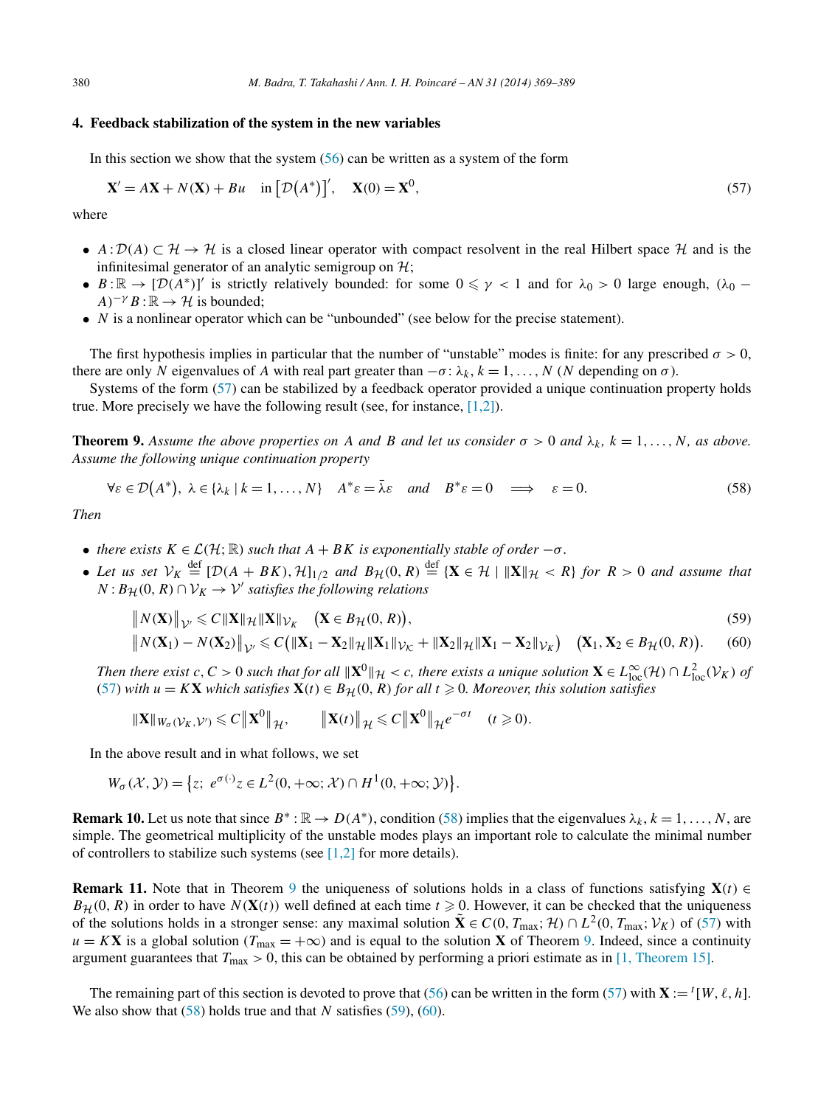#### <span id="page-11-0"></span>**4. Feedback stabilization of the system in the new variables**

In this section we show that the system  $(56)$  can be written as a system of the form

$$
\mathbf{X}' = A\mathbf{X} + N(\mathbf{X}) + Bu \quad \text{in} \left[ \mathcal{D}(A^*) \right]', \quad \mathbf{X}(0) = \mathbf{X}^0,
$$
\n<sup>(57)</sup>

where

- $A: D(A) \subset \mathcal{H} \to \mathcal{H}$  is a closed linear operator with compact resolvent in the real Hilbert space  $\mathcal{H}$  and is the infinitesimal generator of an analytic semigroup on  $\mathcal{H}$ ;
- $B:\mathbb{R}\to[\mathcal{D}(A^*)]'$  is strictly relatively bounded: for some  $0\leq \gamma < 1$  and for  $\lambda_0 > 0$  large enough,  $(\lambda_0 A$ <sup>−*γ*</sup>  $B$  :  $\mathbb{R}$  →  $\mathcal{H}$  is bounded;
- *N* is a nonlinear operator which can be "unbounded" (see below for the precise statement).

The first hypothesis implies in particular that the number of "unstable" modes is finite: for any prescribed  $\sigma > 0$ , there are only *N* eigenvalues of *A* with real part greater than  $-\sigma$ :  $\lambda_k$ ,  $k = 1, \ldots, N$  (*N* depending on  $\sigma$ ).

Systems of the form (57) can be stabilized by a feedback operator provided a unique continuation property holds true. More precisely we have the following result (see, for instance,  $[1,2]$ ).

**Theorem 9.** Assume the above properties on A and B and let us consider  $\sigma > 0$  and  $\lambda_k$ ,  $k = 1, \ldots, N$ , as above. *Assume the following unique continuation property*

$$
\forall \varepsilon \in \mathcal{D}(A^*), \ \lambda \in \{\lambda_k \mid k = 1, \dots, N\} \quad A^* \varepsilon = \bar{\lambda} \varepsilon \quad and \quad B^* \varepsilon = 0 \quad \Longrightarrow \quad \varepsilon = 0. \tag{58}
$$

*Then*

- *there exists*  $K \in \mathcal{L}(\mathcal{H}; \mathbb{R})$  *such that*  $A + BK$  *is exponentially stable of order*  $-\sigma$ *.*
- Let us set  $V_K \stackrel{\text{def}}{=} [\mathcal{D}(A + BK), \mathcal{H}]_{1/2}$  and  $B_{\mathcal{H}}(0, R) \stackrel{\text{def}}{=} {\{X \in \mathcal{H} \mid ||X||_{\mathcal{H}} > R\}}$  for  $R > 0$  and assume that  $N: B_{\mathcal{H}}(0, R) \cap \mathcal{V}_K \to \mathcal{V}'$  *satisfies the following relations*

$$
\|N(\mathbf{X})\|_{\mathcal{V}'} \leqslant C \|\mathbf{X}\|_{\mathcal{H}} \|\mathbf{X}\|_{\mathcal{V}_K} \quad \left(\mathbf{X} \in B_{\mathcal{H}}(0, R)\right),\tag{59}
$$

$$
\left\|N(\mathbf{X}_1)-N(\mathbf{X}_2)\right\|_{\mathcal{V}'}\leqslant C\big(\|\mathbf{X}_1-\mathbf{X}_2\|_{\mathcal{H}}\|\mathbf{X}_1\|_{\mathcal{V}_{\mathcal{K}}}+\|\mathbf{X}_2\|_{\mathcal{H}}\|\mathbf{X}_1-\mathbf{X}_2\|_{\mathcal{V}_{\mathcal{K}}}\big)\quad \big(\mathbf{X}_1,\mathbf{X}_2\in B_{\mathcal{H}}(0,R)\big). \tag{60}
$$

*Then there exist c*, *C* > 0 *such that for all*  $||\mathbf{X}^0||_H < c$ , *there exists a unique solution*  $\mathbf{X} \in L^{\infty}_{loc}(\mathcal{H}) \cap L^2_{loc}(\mathcal{V}_K)$  *of* (57) with  $u = KX$  which satisfies  $X(t) \in B_{\mathcal{H}}(0, R)$  for all  $t \ge 0$ . Moreover, this solution satisfies

$$
\|\mathbf{X}\|_{W_{\sigma}(\mathcal{V}_K,\mathcal{V}')}\leqslant C\left\|\mathbf{X}^0\right\|_{\mathcal{H}},\qquad \left\|\mathbf{X}(t)\right\|_{\mathcal{H}}\leqslant C\left\|\mathbf{X}^0\right\|_{\mathcal{H}}e^{-\sigma t}\quad (t\geqslant 0).
$$

In the above result and in what follows, we set

$$
W_{\sigma}(\mathcal{X}, \mathcal{Y}) = \left\{ z; \ e^{\sigma(\cdot)} z \in L^2(0, +\infty; \mathcal{X}) \cap H^1(0, +\infty; \mathcal{Y}) \right\}.
$$

**Remark 10.** Let us note that since  $B^* : \mathbb{R} \to D(A^*)$ , condition (58) implies that the eigenvalues  $\lambda_k$ ,  $k = 1, \ldots, N$ , are simple. The geometrical multiplicity of the unstable modes plays an important role to calculate the minimal number of controllers to stabilize such systems (see  $[1,2]$  for more details).

**Remark 11.** Note that in Theorem 9 the uniqueness of solutions holds in a class of functions satisfying  $\mathbf{X}(t) \in$  $B_{\mathcal{H}}(0, R)$  in order to have  $N(\mathbf{X}(t))$  well defined at each time  $t \ge 0$ . However, it can be checked that the uniqueness of the solutions holds in a stronger sense: any maximal solution  $\tilde{\mathbf{X}} \in C(0, T_{\text{max}}; \mathcal{H}) \cap L^2(0, T_{\text{max}}; \mathcal{V}_K)$  of (57) with  $u = K$ **X** is a global solution ( $T_{\text{max}} = +\infty$ ) and is equal to the solution **X** of Theorem 9. Indeed, since a continuity argument guarantees that  $T_{\text{max}} > 0$ , this can be obtained by performing a priori estimate as in [\[1, Theorem 15\].](#page-19-0)

The remaining part of this section is devoted to prove that [\(56\)](#page-10-0) can be written in the form (57) with  $\mathbf{X} := {}^{t}[W, \ell, h]$ . We also show that (58) holds true and that *N* satisfies (59), (60).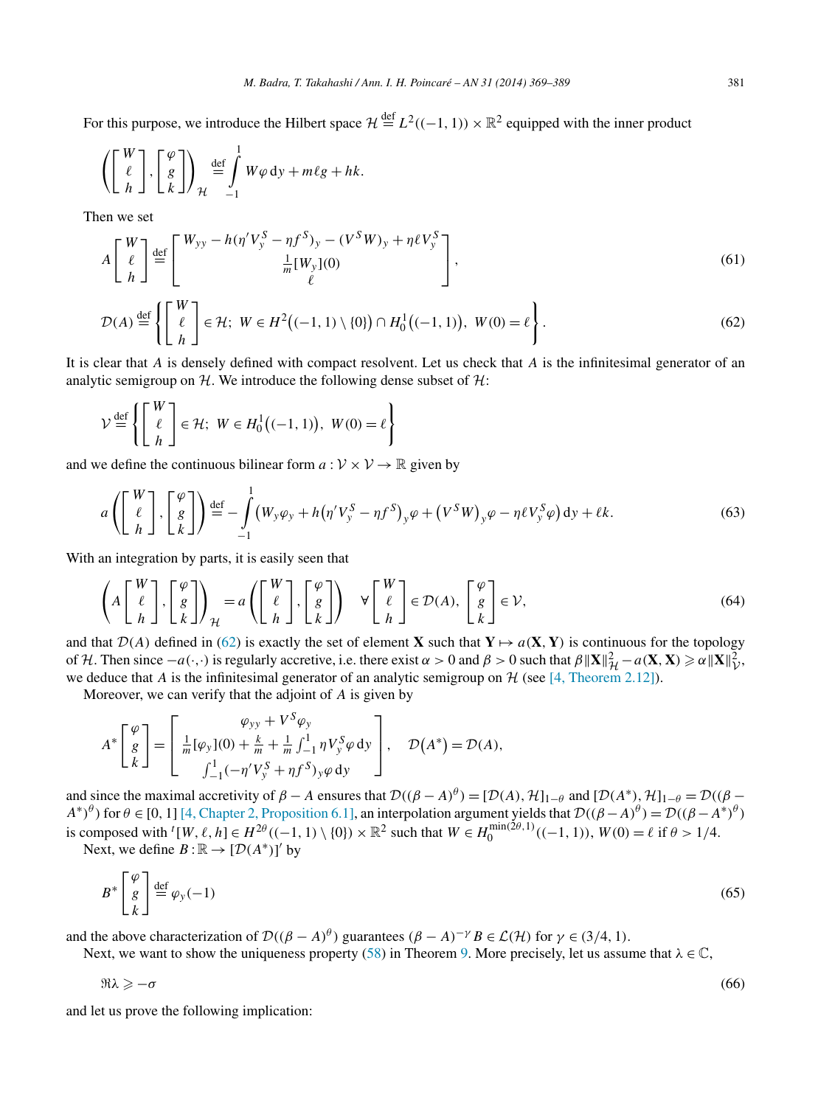<span id="page-12-0"></span>For this purpose, we introduce the Hilbert space  $\mathcal{H} \stackrel{\text{def}}{=} L^2((-1, 1)) \times \mathbb{R}^2$  equipped with the inner product

$$
\left( \begin{bmatrix} W \\ \ell \\ h \end{bmatrix}, \begin{bmatrix} \varphi \\ g \\ k \end{bmatrix} \right)_{\mathcal{H}} \stackrel{\text{def}}{=} \int_{-1}^{1} W \varphi \, \mathrm{d}y + m\ell g + hk.
$$

Then we set

$$
A\begin{bmatrix} W \\ \ell \\ h \end{bmatrix} \stackrel{\text{def}}{=} \begin{bmatrix} W_{yy} - h(\eta'V_y^S - \eta f^S)_y - (V^SW)_y + \eta \ell V_y^S \\ \frac{1}{m}[W_y](0) \\ \ell \end{bmatrix},\tag{61}
$$

$$
\mathcal{D}(A) \stackrel{\text{def}}{=} \left\{ \left[ \begin{array}{c} W \\ \ell \\ h \end{array} \right] \in \mathcal{H}; \ W \in H^2 \big( (-1, 1) \setminus \{0\} \big) \cap H_0^1 \big( (-1, 1) \big), \ W(0) = \ell \right\}.
$$

It is clear that *A* is densely defined with compact resolvent. Let us check that *A* is the infinitesimal generator of an analytic semigroup on  $H$ . We introduce the following dense subset of  $H$ :

$$
\mathcal{V} \stackrel{\text{def}}{=} \left\{ \left[ \begin{array}{c} W \\ \ell \\ h \end{array} \right] \in \mathcal{H}; \ W \in H_0^1 \big( (-1, 1) \big), \ W(0) = \ell \right\}
$$

and we define the continuous bilinear form  $a: V \times V \rightarrow \mathbb{R}$  given by

$$
a\left(\begin{bmatrix} W \\ \ell \\ h \end{bmatrix}, \begin{bmatrix} \varphi \\ g \\ k \end{bmatrix}\right) \stackrel{\text{def}}{=} -\int_{-1}^{1} \left(W_y \varphi_y + h \left(\eta' V_y^S - \eta f^S\right)_y \varphi + \left(V^S W\right)_y \varphi - \eta \ell V_y^S \varphi\right) dy + \ell k. \tag{63}
$$

With an integration by parts, it is easily seen that

$$
\left(A\begin{bmatrix} W \\ \ell \\ h \end{bmatrix}, \begin{bmatrix} \varphi \\ g \\ k \end{bmatrix}\right)_{\mathcal{H}} = a\left(\begin{bmatrix} W \\ \ell \\ h \end{bmatrix}, \begin{bmatrix} \varphi \\ g \\ k \end{bmatrix}\right) \quad \forall \begin{bmatrix} W \\ \ell \\ h \end{bmatrix} \in \mathcal{D}(A), \begin{bmatrix} \varphi \\ g \\ k \end{bmatrix} \in \mathcal{V},\tag{64}
$$

and that  $\mathcal{D}(A)$  defined in (62) is exactly the set of element **X** such that  $\mathbf{Y} \mapsto a(\mathbf{X}, \mathbf{Y})$  is continuous for the topology of H. Then since  $-a(\cdot, \cdot)$  is regularly accretive, i.e. there exist  $\alpha > 0$  and  $\beta > 0$  such that  $\beta \| \mathbf{X} \|^2_{\mathcal{H}} - a(\mathbf{X}, \mathbf{X}) \ge \alpha \| \mathbf{X} \|^2_{\mathcal{V}}$ , we deduce that *A* is the infinitesimal generator of an analytic semigroup on  $H$  (see [\[4, Theorem 2.12\]\)](#page-19-0).

Moreover, we can verify that the adjoint of *A* is given by

$$
A^* \begin{bmatrix} \varphi \\ g \\ k \end{bmatrix} = \begin{bmatrix} \varphi_{yy} + V^S \varphi_y \\ \frac{1}{m} [\varphi_y](0) + \frac{k}{m} + \frac{1}{m} \int_{-1}^1 \eta V_y^S \varphi \, dy \\ \int_{-1}^1 (-\eta' V_y^S + \eta f^S)_y \varphi \, dy \end{bmatrix}, \quad \mathcal{D}(A^*) = \mathcal{D}(A),
$$

and since the maximal accretivity of  $\beta - A$  ensures that  $\mathcal{D}((\beta - A)^{\theta}) = [\mathcal{D}(A), \mathcal{H}]_{1-\theta}$  and  $[\mathcal{D}(A^*), \mathcal{H}]_{1-\theta} = \mathcal{D}((\beta - A)^{\theta})$ *A*<sup>∗</sup> $)$ <sup>*θ*</sup>  $)$  for *θ* ∈ [0, 1] [\[4, Chapter 2, Proposition 6.1\],](#page-19-0) an interpolation argument yields that  $D((β − A)<sup>θ</sup>) = D((β − A<sup>∗</sup>)<sup>θ</sup>)$ is composed with  ${}^{t}[W, \ell, h] \in H^{2\theta}((-1, 1) \setminus \{0\}) \times \mathbb{R}^{2}$  such that  $W \in H_0^{\min(2\theta, 1)}((-1, 1)), W(0) = \ell \text{ if } \theta > 1/4.$ 

Next, we define  $B : \mathbb{R} \to [D(A^*)]'$  by

$$
B^* \begin{bmatrix} \varphi \\ g \\ k \end{bmatrix} \stackrel{\text{def}}{=} \varphi_y(-1) \tag{65}
$$

and the above characterization of  $\mathcal{D}((\beta - A)^{\theta})$  guarantees  $(\beta - A)^{-\gamma}B \in \mathcal{L}(\mathcal{H})$  for  $\gamma \in (3/4, 1)$ .

Next, we want to show the uniqueness property [\(58\)](#page-11-0) in Theorem [9.](#page-11-0) More precisely, let us assume that  $\lambda \in \mathbb{C}$ ,

$$
\Re \lambda \geqslant -\sigma \tag{66}
$$

and let us prove the following implication: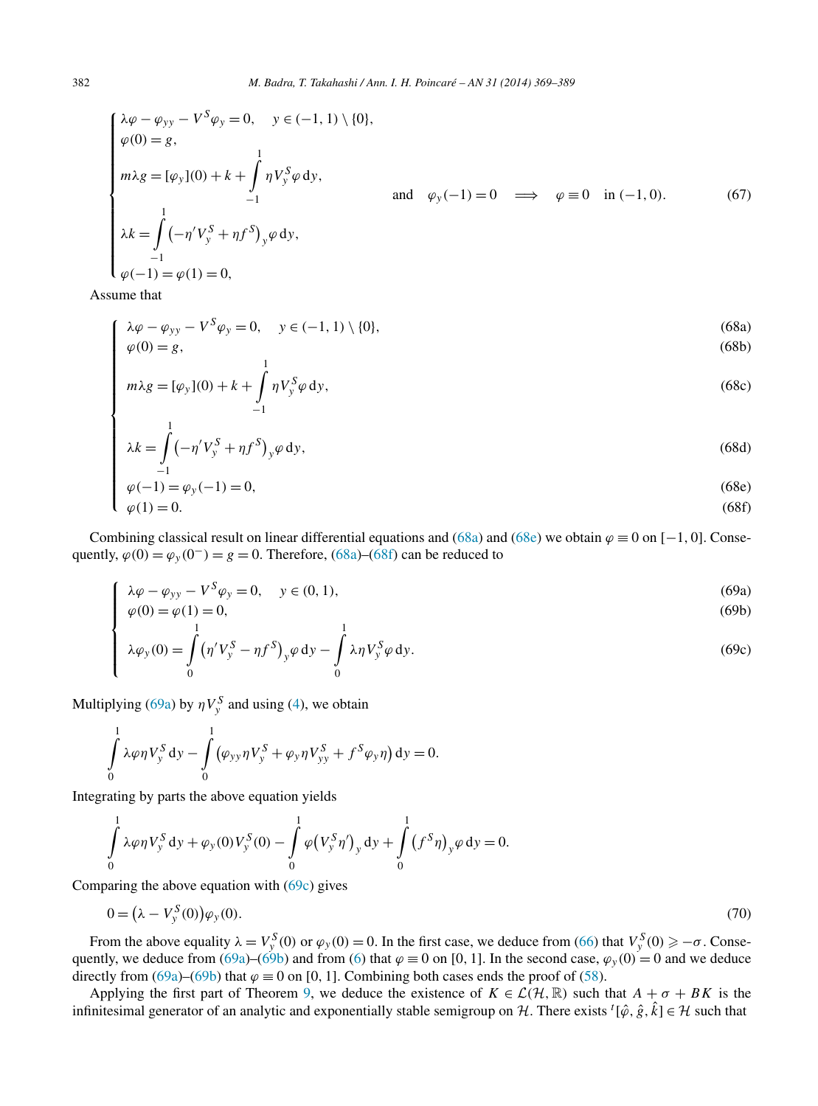$$
\begin{cases}\n\lambda \varphi - \varphi_{yy} - V^S \varphi_y = 0, & y \in (-1, 1) \setminus \{0\}, \\
\varphi(0) = g, & \\
m \lambda g = [\varphi_y](0) + k + \int_{-1}^1 \eta V_y^S \varphi \, dy, \\
& \text{and} \quad \varphi_y(-1) = 0 \implies \varphi \equiv 0 \quad \text{in } (-1, 0). \\
\lambda k = \int_{-1}^1 (-\eta' V_y^S + \eta f^S)_y \varphi \, dy, \\
\varphi(-1) = \varphi(1) = 0,\n\end{cases} \tag{67}
$$

Assume that

 $\sqrt{ }$ 

$$
\lambda \varphi - \varphi_{yy} - V^S \varphi_y = 0, \quad y \in (-1, 1) \setminus \{0\},
$$
  
\n
$$
\varphi(0) = g,
$$
\n(68a)

$$
\varphi(0) = g,
$$
\n
$$
m\lambda g = [\varphi_y](0) + k + \int_{-1}^{1} \eta V_y^S \varphi \, dy,
$$
\n(68c)

$$
\lambda k = \int_{-1}^{1} (-\eta' V_y^S + \eta f^S)_y \varphi \, dy,
$$
\n(68d)  
\n
$$
\varphi(-1) = \varphi_y(-1) = 0,
$$
\n(68e)  
\n
$$
\varphi(1) = 0.
$$
\n(68f)

$$
\varphi(-1) = \varphi_y(-1) = 0,\tag{68e}
$$

$$
\varphi(1) = 0. \tag{68f}
$$

Combining classical result on linear differential equations and (68a) and (68e) we obtain  $\varphi \equiv 0$  on [−1, 0]. Consequently,  $\varphi(0) = \varphi_y(0^-) = g = 0$ . Therefore, (68a)–(68f) can be reduced to

$$
\begin{cases}\n\lambda \varphi - \varphi_{yy} - V^S \varphi_y = 0, & y \in (0, 1), \\
\varphi(0) = \varphi(1) = 0, & (69b) \\
1\n\end{cases}
$$
\n(69a)

$$
\varphi(0) = \varphi(1) = 0,\tag{69b}
$$

$$
\begin{cases}\n\lambda \varphi_y(0) = \int_0^1 (\eta' V_y^S - \eta f^S)_y \varphi \, dy - \int_0^1 \lambda \eta V_y^S \varphi \, dy.\n\end{cases}
$$
\n(69c)

Multiplying (69a) by  $\eta V_y^S$  and using [\(4\)](#page-1-0), we obtain

$$
\int_{0}^{1} \lambda \varphi \eta V_{y}^{S} dy - \int_{0}^{1} (\varphi_{yy} \eta V_{y}^{S} + \varphi_{y} \eta V_{yy}^{S} + f^{S} \varphi_{y} \eta) dy = 0.
$$

Integrating by parts the above equation yields

$$
\int_{0}^{1} \lambda \varphi \eta V_{y}^{S} dy + \varphi_{y}(0) V_{y}^{S}(0) - \int_{0}^{1} \varphi (V_{y}^{S} \eta')_{y} dy + \int_{0}^{1} (f^{S} \eta)_{y} \varphi dy = 0.
$$

Comparing the above equation with (69c) gives

$$
0 = (\lambda - V_y^S(0))\varphi_y(0). \tag{70}
$$

From the above equality  $\lambda = V_y^S(0)$  or  $\varphi_y(0) = 0$ . In the first case, we deduce from [\(66\)](#page-12-0) that  $V_y^S(0) \ge -\sigma$ . Conse-quently, we deduce from (69a)–(69b) and from [\(6\)](#page-1-0) that  $\varphi \equiv 0$  on [0, 1]. In the second case,  $\varphi_y(0) = 0$  and we deduce directly from (69a)–(69b) that  $\varphi \equiv 0$  on [0, 1]. Combining both cases ends the proof of [\(58\)](#page-11-0).

Applying the first part of Theorem [9,](#page-11-0) we deduce the existence of  $K \in \mathcal{L}(\mathcal{H}, \mathbb{R})$  such that  $A + \sigma + BK$  is the infinitesimal generator of an analytic and exponentially stable semigroup on H. There exists  $^t[\hat{\varphi}, \hat{g}, \hat{k}] \in \mathcal{H}$  such that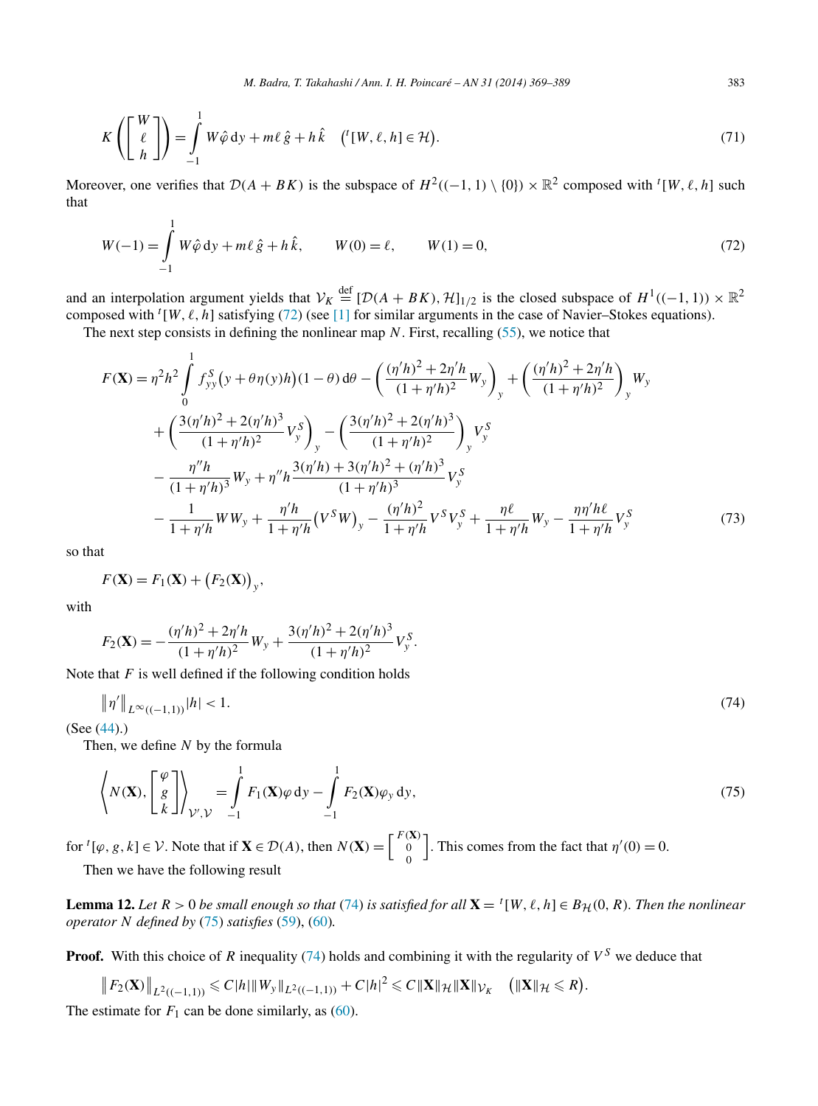<span id="page-14-0"></span>
$$
K\left(\begin{bmatrix} W \\ \ell \\ h \end{bmatrix}\right) = \int_{-1}^{1} W\hat{\varphi} \, \mathrm{d}y + m\ell \,\hat{g} + h\,\hat{k} \quad \left( ^t[W, \ell, h] \in \mathcal{H} \right). \tag{71}
$$

Moreover, one verifies that  $\mathcal{D}(A + BK)$  is the subspace of  $H^2((-1, 1) \setminus \{0\}) \times \mathbb{R}^2$  composed with  ${}^t[W, \ell, h]$  such that

$$
W(-1) = \int_{-1}^{1} W \hat{\varphi} \, dy + m\ell \, \hat{g} + h \, \hat{k}, \qquad W(0) = \ell, \qquad W(1) = 0,
$$
\n(72)

and an interpolation argument yields that  $V_K \stackrel{\text{def}}{=} [\mathcal{D}(A + BK), \mathcal{H}]_{1/2}$  is the closed subspace of  $H^1((-1, 1)) \times \mathbb{R}^2$ composed with  $^t[W, \ell, h]$  satisfying (72) (see [\[1\]](#page-19-0) for similar arguments in the case of Navier–Stokes equations).

The next step consists in defining the nonlinear map *N*. First, recalling [\(55\)](#page-10-0), we notice that

$$
F(\mathbf{X}) = \eta^2 h^2 \int_0^1 f_{yy}^S (y + \theta \eta(y)h)(1 - \theta) d\theta - \left(\frac{(\eta/h)^2 + 2\eta/h}{(1 + \eta/h)^2} W_y\right)_y + \left(\frac{(\eta/h)^2 + 2\eta/h}{(1 + \eta/h)^2}\right)_y W_y
$$
  
+ 
$$
\left(\frac{3(\eta/h)^2 + 2(\eta/h)^3}{(1 + \eta/h)^2} V_y^S\right)_y - \left(\frac{3(\eta/h)^2 + 2(\eta/h)^3}{(1 + \eta/h)^2}\right)_y V_y^S
$$
  
- 
$$
\frac{\eta'' h}{(1 + \eta/h)^3} W_y + \eta'' h \frac{3(\eta/h) + 3(\eta/h)^2 + (\eta/h)^3}{(1 + \eta/h)^3} V_y^S
$$
  
- 
$$
\frac{1}{1 + \eta/h} W W_y + \frac{\eta'h}{1 + \eta/h} (V^S W)_y - \frac{(\eta/h)^2}{1 + \eta/h} V^S V_y^S + \frac{\eta \ell}{1 + \eta/h} W_y - \frac{\eta\eta'h\ell}{1 + \eta'h} V_y^S
$$
(73)

so that

$$
F(\mathbf{X}) = F_1(\mathbf{X}) + (F_2(\mathbf{X}))_y,
$$

with

$$
F_2(\mathbf{X}) = -\frac{(\eta'h)^2 + 2\eta'h}{(1+\eta'h)^2}W_y + \frac{3(\eta'h)^2 + 2(\eta'h)^3}{(1+\eta'h)^2}V_y^S.
$$

Note that *F* is well defined if the following condition holds

$$
\|\eta'\|_{L^{\infty}((-1,1))}|h| < 1. \tag{74}
$$

(See [\(44\)](#page-9-0).)

Then, we define *N* by the formula

$$
\left\langle N(\mathbf{X}), \begin{bmatrix} \varphi \\ g \\ k \end{bmatrix} \right\rangle_{\mathcal{V}', \mathcal{V}} = \int_{-1}^{1} F_1(\mathbf{X}) \varphi \, \mathrm{d}y - \int_{-1}^{1} F_2(\mathbf{X}) \varphi_y \, \mathrm{d}y, \tag{75}
$$

for  ${}^{t}[\varphi, g, k] \in \mathcal{V}$ . Note that if  $\mathbf{X} \in \mathcal{D}(A)$ , then  $N(\mathbf{X}) = \begin{bmatrix} F(\mathbf{X}) & 0 \\ 0 & 0 \end{bmatrix}$  $\boldsymbol{0}$ . This comes from the fact that  $\eta'(0) = 0$ . Then we have the following result

**Lemma 12.** Let  $R > 0$  be small enough so that (74) is satisfied for all  $\mathbf{X} = {}^{t}[W, \ell, h] \in B_{\mathcal{H}}(0, R)$ . Then the nonlinear *operator N defined by* (75) *satisfies* [\(59\)](#page-11-0), [\(60\)](#page-11-0)*.*

**Proof.** With this choice of *R* inequality (74) holds and combining it with the regularity of  $V^S$  we deduce that

 $||F_2(\mathbf{X})||_{L^2((-1,1))} \leq C|h| ||W_y||_{L^2((-1,1))} + C|h|^2 \leq C||\mathbf{X}||_{\mathcal{H}}||\mathbf{X}||_{\mathcal{V}_K}$  ( $||\mathbf{X}||_{\mathcal{H}} \leq R$ ). The estimate for  $F_1$  can be done similarly, as [\(60\)](#page-11-0).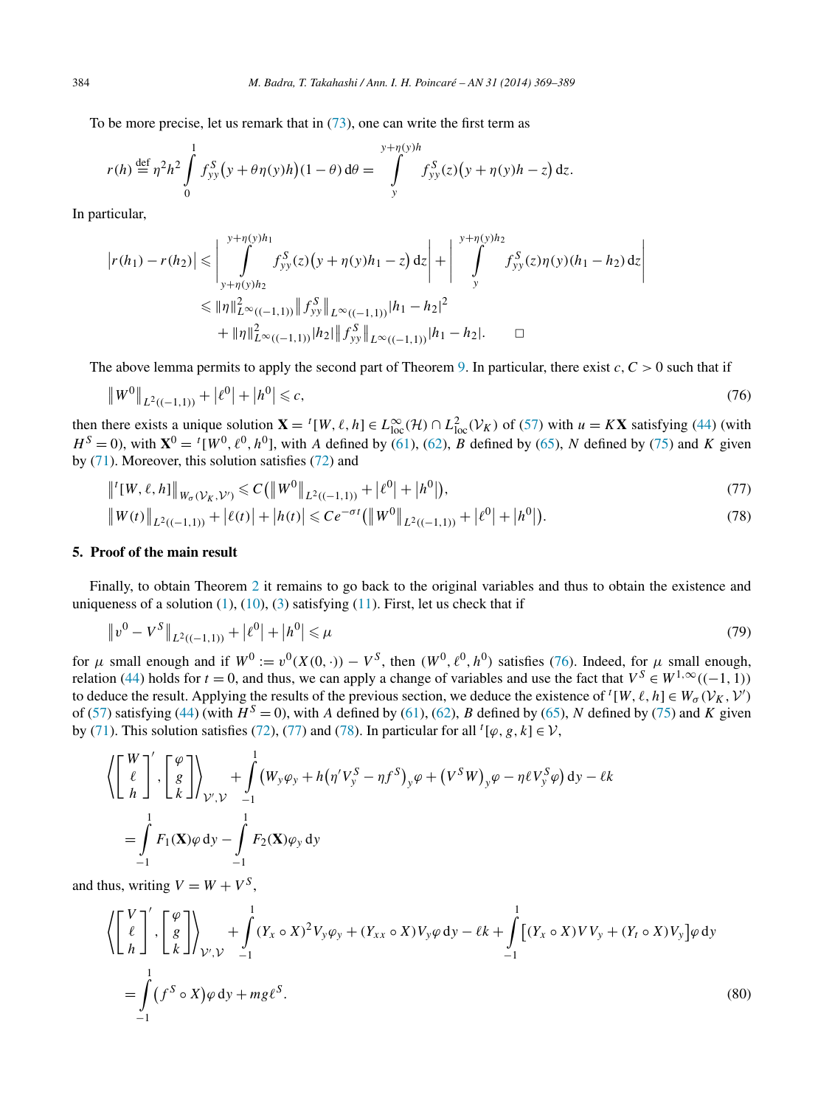<span id="page-15-0"></span>To be more precise, let us remark that in  $(73)$ , one can write the first term as

$$
r(h) \stackrel{\text{def}}{=} \eta^2 h^2 \int_0^1 f_{yy}^S (y + \theta \eta(y)h)(1 - \theta) d\theta = \int_y^{y + \eta(y)h} f_{yy}^S(z) (y + \eta(y)h - z) dz.
$$

In particular,

$$
\begin{aligned} \left| r(h_1) - r(h_2) \right| &\leq \left| \int_{y+\eta(y)h_2}^{y+\eta(y)h_1} f_{yy}^S(z)(y+\eta(y)h_1-z) \, dz \right| + \left| \int_{y}^{y+\eta(y)h_2} f_{yy}^S(z)\eta(y)(h_1-h_2) \, dz \right| \\ &\leq \| \eta \|_{L^\infty((-1,1))}^2 \| f_{yy}^S \|_{L^\infty((-1,1))} |h_1-h_2|^2 \\ &\quad + \| \eta \|_{L^\infty((-1,1))}^2 \| h_2 \| \| f_{yy}^S \|_{L^\infty((-1,1))} |h_1-h_2|. \quad \Box \end{aligned}
$$

The above lemma permits to apply the second part of Theorem [9.](#page-11-0) In particular, there exist  $c, C > 0$  such that if

$$
\|W^0\|_{L^2((-1,1))} + |\ell^0| + |h^0| \leq c,\tag{76}
$$

then there exists a unique solution  $\mathbf{X} = {}^{t}[W, \ell, h] \in L^{\infty}_{loc}(\mathcal{H}) \cap L^{2}_{loc}(\mathcal{V}_{K})$  of [\(57\)](#page-11-0) with  $u = K\mathbf{X}$  satisfying [\(44\)](#page-9-0) (with  $H^{S} = 0$ ), with  $X^{0} = {}^{t}[W^{0}, \ell^{0}, h^{0}]$ , with *A* defined by [\(61\)](#page-12-0), [\(62\)](#page-12-0), *B* defined by [\(65\)](#page-12-0), *N* defined by [\(75\)](#page-14-0) and *K* given by [\(71\)](#page-14-0). Moreover, this solution satisfies [\(72\)](#page-14-0) and

$$
\|{}^{t}[W,\ell,h]\|_{W_{\sigma}(\mathcal{V}_{K},\mathcal{V}')} \leq C(\|W^{0}\|_{L^{2}((-1,1))} + |\ell^{0}| + |h^{0}|), \tag{77}
$$

$$
||W(t)||_{L^{2}((-1,1))} + |l(t)| + |h(t)| \le Ce^{-\sigma t} (||W^{0}||_{L^{2}((-1,1))} + |l^{0}| + |h^{0}|). \tag{78}
$$

# **5. Proof of the main result**

Finally, to obtain Theorem [2](#page-3-0) it remains to go back to the original variables and thus to obtain the existence and uniqueness of a solution  $(1)$ ,  $(10)$ ,  $(3)$  satisfying  $(11)$ . First, let us check that if

$$
\|v^0 - V^S\|_{L^2((-1,1))} + |\ell^0| + |h^0| \le \mu \tag{79}
$$

for  $\mu$  small enough and if  $W^0 := v^0(X(0, \cdot)) - V^S$ , then  $(W^0, \ell^0, h^0)$  satisfies (76). Indeed, for  $\mu$  small enough, relation [\(44\)](#page-9-0) holds for  $t = 0$ , and thus, we can apply a change of variables and use the fact that  $V^S \in W^{1,\infty}((-1,1))$ to deduce the result. Applying the results of the previous section, we deduce the existence of  $^t[W, \ell, h] \in W_{\sigma}(V_K, V')$ of [\(57\)](#page-11-0) satisfying [\(44\)](#page-9-0) (with  $H^S = 0$ ), with *A* defined by [\(61\)](#page-12-0), [\(62\)](#page-12-0), *B* defined by [\(65\)](#page-12-0), *N* defined by [\(75\)](#page-14-0) and *K* given by [\(71\)](#page-14-0). This solution satisfies [\(72\)](#page-14-0), (77) and (78). In particular for all <sup>*t*</sup>[ $\varphi$ ,  $g$ ,  $k$ ]  $\in \mathcal{V}$ ,

$$
\left\langle \begin{bmatrix} W \\ \ell \\ h \end{bmatrix}', \begin{bmatrix} \varphi \\ g \\ k \end{bmatrix} \right\rangle_{\mathcal{V}', \mathcal{V}} + \int_{-1}^{1} (W_y \varphi_y + h(\eta' V_y^S - \eta f^S)_y \varphi + (V^S W)_y \varphi - \eta \ell V_y^S \varphi) dy - \ell k
$$
  
= 
$$
\int_{-1}^{1} F_1(\mathbf{X}) \varphi dy - \int_{-1}^{1} F_2(\mathbf{X}) \varphi_y dy
$$

and thus, writing  $V = W + V^S$ ,

$$
\left\langle \begin{bmatrix} V \\ \ell \\ h \end{bmatrix}', \begin{bmatrix} \varphi \\ g \\ k \end{bmatrix} \right\rangle_{\mathcal{V}', \mathcal{V}} + \int_{-1}^{1} (Y_x \circ X)^2 V_y \varphi_y + (Y_{xx} \circ X) V_y \varphi \, dy - \ell k + \int_{-1}^{1} [(Y_x \circ X) V V_y + (Y_t \circ X) V_y] \varphi \, dy \newline = \int_{-1}^{1} (f^S \circ X) \varphi \, dy + mg \ell^S.
$$
\n
$$
(80)
$$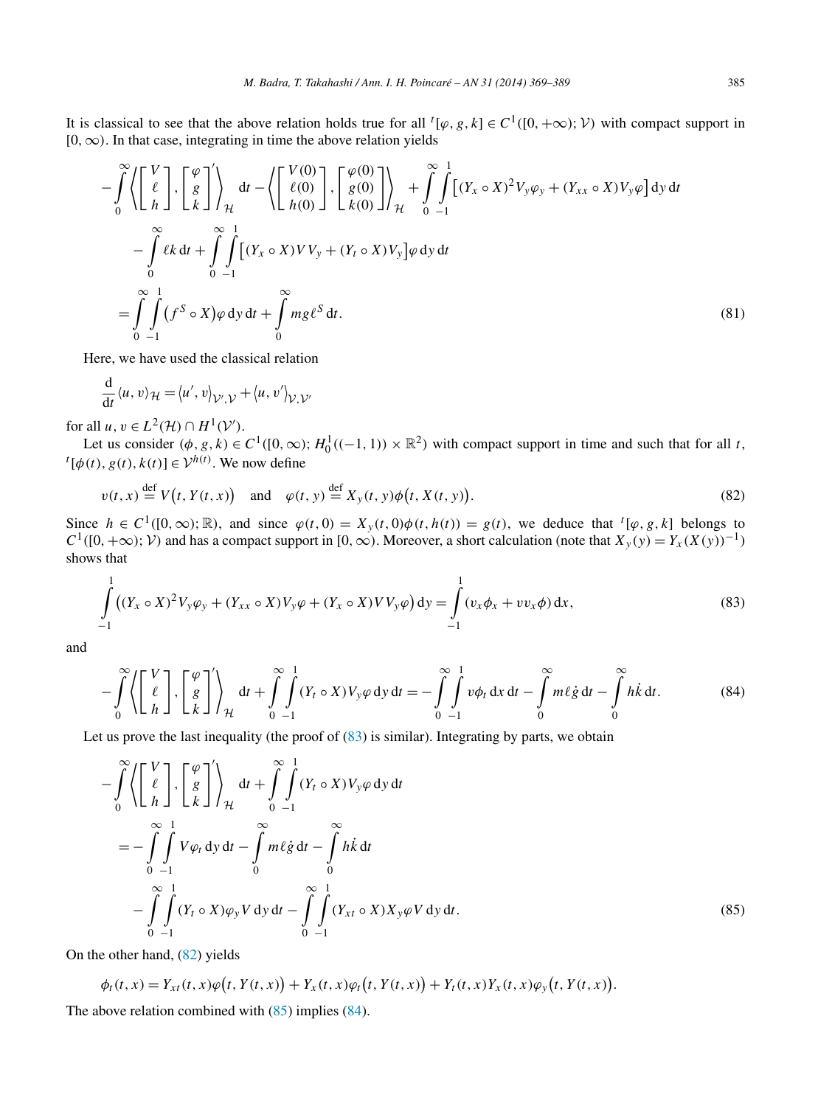<span id="page-16-0"></span>It is classical to see that the above relation holds true for all  $^t[\varphi, g, k] \in C^1([0, +\infty); \mathcal{V})$  with compact support in [0*,*∞*)*. In that case, integrating in time the above relation yields

$$
-\int_{0}^{\infty} \left\langle \begin{bmatrix} V \\ \ell \\ h \end{bmatrix}, \begin{bmatrix} \varphi \\ g \\ k \end{bmatrix} \right\rangle_{\mathcal{H}} dt - \left\langle \begin{bmatrix} V(0) \\ \ell(0) \\ h(0) \end{bmatrix}, \begin{bmatrix} \varphi(0) \\ g(0) \\ k(0) \end{bmatrix} \right\rangle_{\mathcal{H}} + \int_{0}^{\infty} \int_{-1}^{1} \left[ (Y_x \circ X)^2 V_y \varphi_y + (Y_{xx} \circ X) V_y \varphi \right] dy dt
$$
  

$$
-\int_{0}^{\infty} \ell k dt + \int_{0}^{\infty} \int_{-1}^{1} \left[ (Y_x \circ X) V V_y + (Y_t \circ X) V_y \right] \varphi dy dt
$$
  

$$
= \int_{0}^{\infty} \int_{-1}^{1} (f^S \circ X) \varphi dy dt + \int_{0}^{\infty} mg \ell^S dt.
$$
 (81)

Here, we have used the classical relation

$$
\frac{\mathrm{d}}{\mathrm{d}t} \langle u, v \rangle_{\mathcal{H}} = \langle u', v \rangle_{\mathcal{V}', \mathcal{V}} + \langle u, v' \rangle_{\mathcal{V}, \mathcal{V}'}
$$

for all  $u, v \in L^2(\mathcal{H}) \cap H^1(\mathcal{V}')$ .

Let us consider  $(\phi, g, k) \in C^1([0, \infty); H_0^1((-1, 1)) \times \mathbb{R}^2)$  with compact support in time and such that for all t,  $\mathfrak{l}[\phi(t), g(t), k(t)] \in \mathcal{V}^{h(t)}$ . We now define

$$
v(t,x) \stackrel{\text{def}}{=} V(t,Y(t,x)) \quad \text{and} \quad \varphi(t,y) \stackrel{\text{def}}{=} X_y(t,y)\phi\big(t,X(t,y)\big). \tag{82}
$$

Since  $h \in C^1([0,\infty);\mathbb{R})$ , and since  $\varphi(t,0) = X_y(t,0)\phi(t,h(t)) = g(t)$ , we deduce that  ${}^t[\varphi, g, k]$  belongs to  $C$ <sup>1</sup>([0, +∞);  $V$ ) and has a compact support in [0, ∞). Moreover, a short calculation (note that  $X_y(y) = Y_x(X(y))^{-1}$ ) shows that

$$
\int_{-1}^{1} ((Y_x \circ X)^2 V_y \varphi_y + (Y_{xx} \circ X) V_y \varphi + (Y_x \circ X) V V_y \varphi) dy = \int_{-1}^{1} (v_x \varphi_x + v v_x \varphi) dx,
$$
\n(83)

and

$$
-\int_{0}^{\infty} \left\langle \left[ \begin{array}{c} V \\ \ell \\ h \end{array} \right], \left[ \begin{array}{c} \varphi \\ g \\ k \end{array} \right] \right\rangle_{\mathcal{H}} dt + \int_{0}^{\infty} \int_{-1}^{1} (Y_t \circ X) V_y \varphi \, \mathrm{d}y \, \mathrm{d}t = -\int_{0}^{\infty} \int_{-1}^{1} v \varphi_t \, \mathrm{d}x \, \mathrm{d}t - \int_{0}^{\infty} m \ell \dot{g} \, \mathrm{d}t - \int_{0}^{\infty} h \dot{k} \, \mathrm{d}t. \tag{84}
$$

Let us prove the last inequality (the proof of  $(83)$  is similar). Integrating by parts, we obtain

$$
-\int_{0}^{\infty} \left\langle \begin{bmatrix} V \\ \ell \\ h \end{bmatrix}, \begin{bmatrix} \varphi \\ g \\ k \end{bmatrix} \right\rangle_{\mathcal{H}} dt + \int_{0}^{\infty} \int_{-1}^{1} (Y_t \circ X) V_y \varphi \, dy \, dt
$$
  

$$
= -\int_{0}^{\infty} \int_{-1}^{1} V \varphi_t \, dy \, dt - \int_{0}^{\infty} m \ell \dot{g} \, dt - \int_{0}^{\infty} h \dot{k} \, dt
$$
  

$$
- \int_{0}^{\infty} \int_{-1}^{1} (Y_t \circ X) \varphi_y V \, dy \, dt - \int_{0}^{\infty} \int_{-1}^{1} (Y_{xt} \circ X) X_y \varphi V \, dy \, dt.
$$
 (85)

On the other hand, (82) yields

$$
\phi_t(t, x) = Y_{xt}(t, x)\varphi(t, Y(t, x)) + Y_x(t, x)\varphi_t(t, Y(t, x)) + Y_t(t, x)Y_x(t, x)\varphi_y(t, Y(t, x)).
$$
  
The above relation combined with (85) implies (84).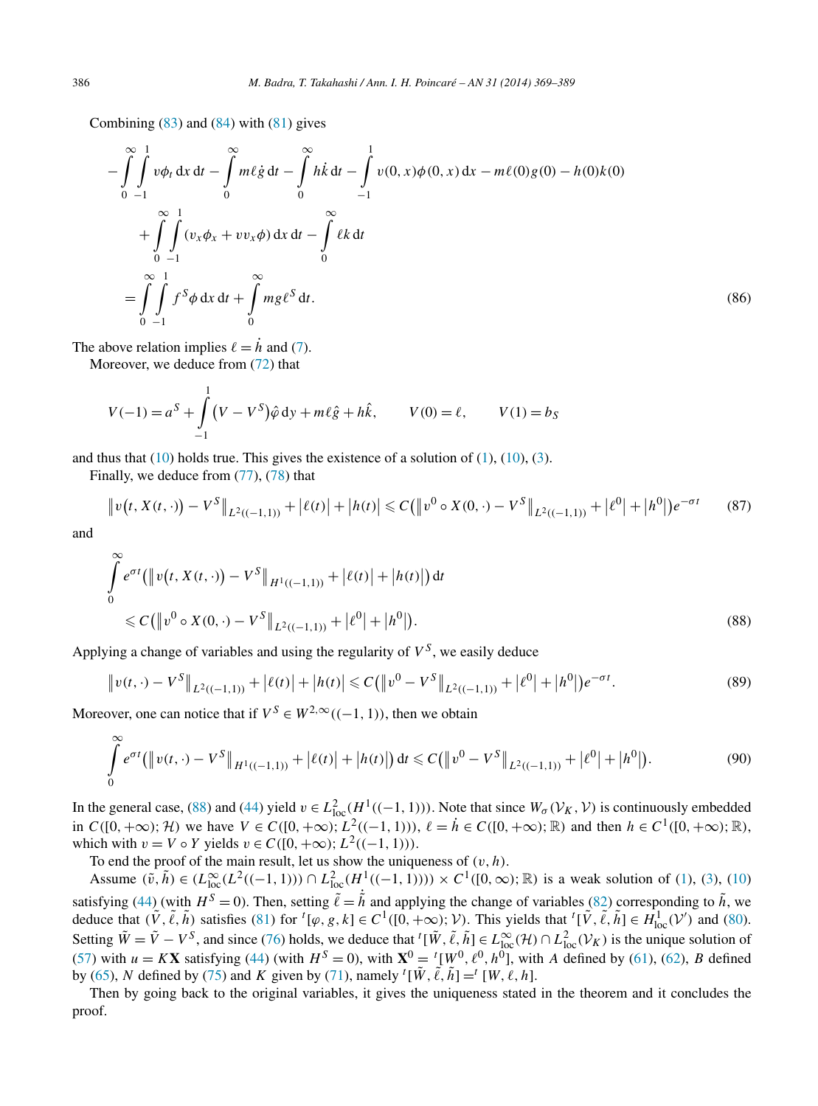Combining  $(83)$  and  $(84)$  with  $(81)$  gives

$$
-\int_{0}^{\infty}\int_{-1}^{1}v\phi_{t} dx dt - \int_{0}^{\infty}m\ell \dot{g} dt - \int_{0}^{\infty}h\dot{k} dt - \int_{-1}^{1}v(0,x)\phi(0,x) dx - m\ell(0)g(0) - h(0)k(0)
$$
  
+ 
$$
\int_{0}^{\infty}\int_{-1}^{1} (v_{x}\phi_{x} + vv_{x}\phi) dx dt - \int_{0}^{\infty}\ell k dt
$$
  
= 
$$
\int_{0}^{\infty}\int_{-1}^{1}f^{S}\phi dx dt + \int_{0}^{\infty}mg\ell^{S} dt.
$$
 (86)

The above relation implies  $\ell = \dot{h}$  and [\(7\)](#page-2-0).

Moreover, we deduce from [\(72\)](#page-14-0) that

1

$$
V(-1) = a^{S} + \int_{-1}^{1} (V - V^{S}) \hat{\varphi} \, dy + m\ell \hat{g} + h\hat{k}, \qquad V(0) = \ell, \qquad V(1) = b_{S}
$$

and thus that  $(10)$  holds true. This gives the existence of a solution of  $(1)$ ,  $(10)$ ,  $(3)$ .

Finally, we deduce from [\(77\)](#page-15-0), [\(78\)](#page-15-0) that

$$
\|v(t, X(t, \cdot)) - V^S\|_{L^2((-1, 1))} + |\ell(t)| + |h(t)| \le C(\|v^0 \circ X(0, \cdot) - V^S\|_{L^2((-1, 1))} + |\ell^0| + |h^0|)e^{-\sigma t}
$$
(87)

and

$$
\int_{0}^{\infty} e^{\sigma t} \left( \left\| v(t, X(t, \cdot)) - V^{S} \right\|_{H^{1}((-1, 1))} + |\ell(t)| + |h(t)| \right) dt
$$
\n
$$
\leq C \left( \left\| v^{0} \circ X(0, \cdot) - V^{S} \right\|_{L^{2}((-1, 1))} + |\ell^{0}| + |h^{0}| \right). \tag{88}
$$

Applying a change of variables and using the regularity of  $V^S$ , we easily deduce

$$
\|v(t,\cdot)-V^S\|_{L^2((-1,1))} + |\ell(t)| + |h(t)| \leq C(\|v^0 - V^S\|_{L^2((-1,1))} + |\ell^0| + |h^0|)e^{-\sigma t}.
$$
\n(89)

Moreover, one can notice that if  $V^S \in W^{2,\infty}((-1, 1))$ , then we obtain

$$
\int_{0}^{\infty} e^{\sigma t} \left( \left\| v(t, \cdot) - V^{S} \right\|_{H^{1}((-1, 1))} + \left| \ell(t) \right| + \left| h(t) \right| \right) dt \leq C \left( \left\| v^{0} - V^{S} \right\|_{L^{2}((-1, 1))} + \left| \ell^{0} \right| + \left| h^{0} \right| \right).
$$
\n(90)

In the general case, (88) and [\(44\)](#page-9-0) yield  $v \in L^2_{loc}(H^1((-1, 1)))$ . Note that since  $W_{\sigma}(\mathcal{V}_K, \mathcal{V})$  is continuously embedded in  $C([0, +\infty); \mathcal{H})$  we have  $V \in C([0, +\infty); L^2((-1, 1))), \ell = \dot{h} \in C([0, +\infty); \mathbb{R})$  and then  $h \in C^1([0, +\infty); \mathbb{R})$ , which with  $v = V \circ Y$  yields  $v \in C([0, +\infty); L^2((-1, 1))).$ 

To end the proof of the main result, let us show the uniqueness of  $(v, h)$ .

Assume  $(\tilde{v}, \tilde{h}) \in (L_{loc}^{\infty}(L^2((-1, 1))) \cap L_{loc}^2(H^1((-1, 1)))) \times C^1([0, \infty); \mathbb{R})$  is a weak solution of [\(1\)](#page-1-0), [\(3\)](#page-1-0), [\(10\)](#page-3-0) satisfying [\(44\)](#page-9-0) (with  $H^S = 0$ ). Then, setting  $\tilde{\ell} = \dot{\tilde{h}}$  and applying the change of variables [\(82\)](#page-16-0) corresponding to  $\tilde{h}$ , we deduce that  $(\tilde{V}, \tilde{\ell}, \tilde{h})$  satisfies [\(81\)](#page-16-0) for  ${}^{t}[\varphi, g, k] \in C^{1}([0, +\infty); \mathcal{V})$ . This yields that  ${}^{t}[\tilde{V}, \tilde{\ell}, \tilde{h}] \in H_{loc}^{1}(\mathcal{V}')$  and [\(80\)](#page-15-0). Setting  $\tilde{W} = \tilde{V} - V^S$ , and since [\(76\)](#page-15-0) holds, we deduce that  ${}^t[\tilde{W}, \tilde{\ell}, \tilde{h}] \in L^{\infty}_{loc}(\mathcal{H}) \cap L^2_{loc}(\mathcal{V}_K)$  is the unique solution of [\(57\)](#page-11-0) with  $u = K\mathbf{X}$  satisfying [\(44\)](#page-9-0) (with  $H^S = 0$ ), with  $\mathbf{X}^0 = {}^t[W^0, \ell^0, h^0]$ , with *A* defined by [\(61\)](#page-12-0), [\(62\)](#page-12-0), *B* defined by [\(65\)](#page-12-0), *N* defined by [\(75\)](#page-14-0) and *K* given by [\(71\)](#page-14-0), namely <sup>*t*</sup>[ $\tilde{W}$ ,  $\tilde{\ell}$ ,  $\tilde{h}$ ] =<sup>*t*</sup> [ $W$ ,  $\ell$ ,  $h$ ].

Then by going back to the original variables, it gives the uniqueness stated in the theorem and it concludes the proof.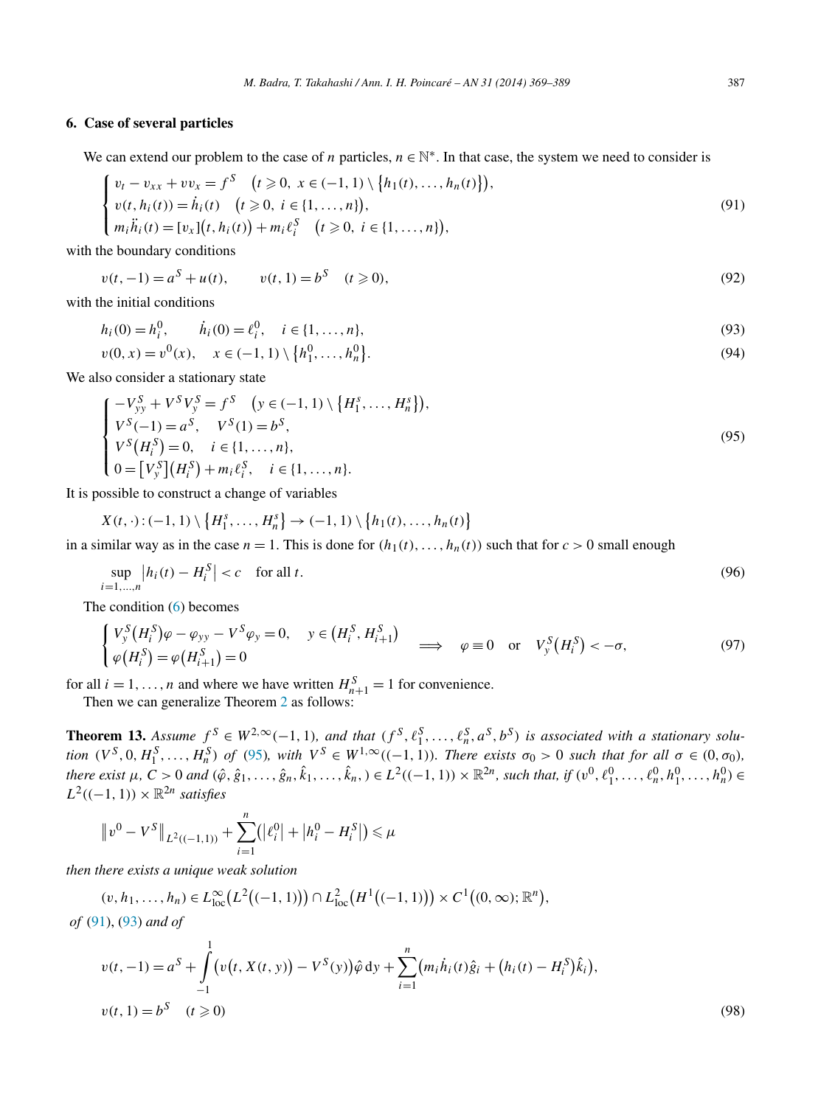# <span id="page-18-0"></span>**6. Case of several particles**

We can extend our problem to the case of *n* particles,  $n \in \mathbb{N}^*$ . In that case, the system we need to consider is

$$
\begin{cases}\nv_t - v_{xx} + v v_x = f^S \quad (t \ge 0, \ x \in (-1, 1) \setminus \{h_1(t), \dots, h_n(t)\}), \\
v(t, h_i(t)) = \dot{h}_i(t) \quad (t \ge 0, \ i \in \{1, \dots, n\}), \\
m_i \ddot{h}_i(t) = [v_x](t, h_i(t)) + m_i \ell_i^S \quad (t \ge 0, \ i \in \{1, \dots, n\}),\n\end{cases} \tag{91}
$$

with the boundary conditions

$$
v(t, -1) = a^S + u(t), \qquad v(t, 1) = b^S \quad (t \ge 0),
$$
\n(92)

with the initial conditions

$$
h_i(0) = h_i^0, \qquad \dot{h}_i(0) = \ell_i^0, \quad i \in \{1, \dots, n\},\tag{93}
$$

$$
v(0, x) = v^{0}(x), \quad x \in (-1, 1) \setminus \{h_{1}^{0}, \dots, h_{n}^{0}\}.
$$
\n(94)

We also consider a stationary state

$$
\begin{cases}\n-V_{yy}^S + V^S V_y^S = f^S \quad (y \in (-1, 1) \setminus \{H_1^s, \dots, H_n^s\}), \\
V^S(-1) = a^S, \quad V^S(1) = b^S, \\
V^S(H_i^S) = 0, \quad i \in \{1, \dots, n\}, \\
0 = [V_y^S](H_i^S) + m_i \ell_i^S, \quad i \in \{1, \dots, n\}.\n\end{cases}
$$
\n(95)

It is possible to construct a change of variables

$$
X(t,\cdot):(-1,1)\setminus\big\{H_1^s,\ldots,H_n^s\big\}\to(-1,1)\setminus\big\{h_1(t),\ldots,h_n(t)\big\}
$$

in a similar way as in the case  $n = 1$ . This is done for  $(h_1(t),...,h_n(t))$  such that for  $c > 0$  small enough

$$
\sup_{i=1,\ldots,n} \left| h_i(t) - H_i^S \right| < c \quad \text{for all } t. \tag{96}
$$

The condition [\(6\)](#page-1-0) becomes

$$
\begin{cases}\nV_{y}^{S}(H_{i}^{S})\varphi - \varphi_{yy} - V^{S}\varphi_{y} = 0, & y \in (H_{i}^{S}, H_{i+1}^{S}) \\
\varphi(H_{i}^{S}) = \varphi(H_{i+1}^{S}) = 0\n\end{cases} \implies \varphi \equiv 0 \text{ or } V_{y}^{S}(H_{i}^{S}) < -\sigma,
$$
\n(97)

for all  $i = 1, ..., n$  and where we have written  $H_{n+1}^S = 1$  for convenience.

Then we can generalize Theorem [2](#page-3-0) as follows:

**Theorem 13.** Assume  $f^S \in W^{2,\infty}(-1,1)$ , and that  $(f^S, \ell_1^S, \ldots, \ell_n^S, a^S, b^S)$  is associated with a stationary solution  $(V^S, 0, H_1^S, \ldots, H_n^S)$  of (95), with  $V^S \in W^{1,\infty}((-1,1))$ . There exists  $\sigma_0 > 0$  such that for all  $\sigma \in (0, \sigma_0)$ , there exist  $\mu$ ,  $C > 0$  and  $(\hat{\varphi}, \hat{g}_1, \ldots, \hat{g}_n, \hat{k}_1, \ldots, \hat{k}_n) \in L^2((-1, 1)) \times \mathbb{R}^{2n}$ , such that, if  $(v^0, \ell_1^0, \ldots, \ell_n^0, h_1^0, \ldots, h_n^0) \in$  $L^2((-1, 1)) \times \mathbb{R}^{2n}$  *satisfies* 

$$
||v^0 - V^S||_{L^2((-1,1))} + \sum_{i=1}^n (|\ell_i^0| + |h_i^0 - H_i^S|) \le \mu
$$

*then there exists a unique weak solution*

$$
(v, h_1, \ldots, h_n) \in L^{\infty}_{loc}(L^2((-1, 1))) \cap L^2_{loc}(H^1((-1, 1))) \times C^1((0, \infty); \mathbb{R}^n),
$$

*of* (91), (93) *and of*

$$
v(t, -1) = a^S + \int_{-1}^{1} \left( v(t, X(t, y)) - V^S(y) \right) \hat{\varphi} \, dy + \sum_{i=1}^{n} \left( m_i \dot{h}_i(t) \hat{g}_i + \left( h_i(t) - H_i^S \right) \hat{k}_i \right),
$$
  

$$
v(t, 1) = b^S \quad (t \ge 0)
$$
 (98)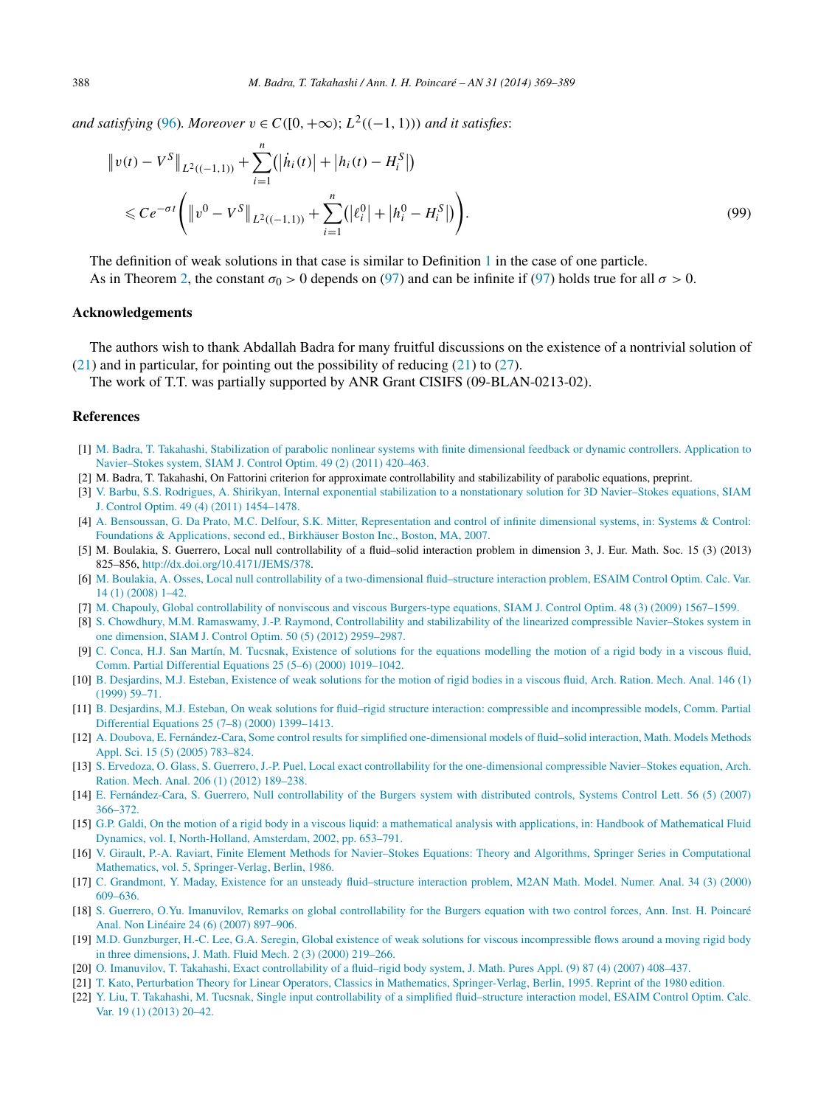<span id="page-19-0"></span>*and satisfying* [\(96\)](#page-18-0)*. Moreover*  $v \in C([0, +\infty); L^2((-1, 1))$  *and it satisfies:* 

$$
\|v(t) - V^S\|_{L^2((-1,1))} + \sum_{i=1}^n (|\dot{h}_i(t)| + |h_i(t) - H_i^S|)
$$
  
\$\leq C e^{-\sigma t} \left( \|v^0 - V^S\|\_{L^2((-1,1))} + \sum\_{i=1}^n (|\ell\_i^0| + |h\_i^0 - H\_i^S|) \right). \tag{99}

The definition of weak solutions in that case is similar to Definition [1](#page-2-0) in the case of one particle. As in Theorem [2,](#page-3-0) the constant  $\sigma_0 > 0$  depends on [\(97\)](#page-18-0) and can be infinite if (97) holds true for all  $\sigma > 0$ .

# **Acknowledgements**

The authors wish to thank Abdallah Badra for many fruitful discussions on the existence of a nontrivial solution of  $(21)$  and in particular, for pointing out the possibility of reducing  $(21)$  to  $(27)$ .

The work of T.T. was partially supported by ANR Grant CISIFS (09-BLAN-0213-02).

# **References**

- [1] [M. Badra, T. Takahashi, Stabilization of parabolic nonlinear systems with finite dimensional feedback or dynamic controllers. Application to](http://refhub.elsevier.com/S0294-1449(13)00054-1/bib4254s1) [Navier–Stokes system, SIAM J. Control Optim. 49 \(2\) \(2011\) 420–463.](http://refhub.elsevier.com/S0294-1449(13)00054-1/bib4254s1)
- [2] M. Badra, T. Takahashi, On Fattorini criterion for approximate controllability and stabilizability of parabolic equations, preprint.
- [3] [V. Barbu, S.S. Rodrigues, A. Shirikyan, Internal exponential stabilization to a nonstationary solution for 3D Navier–Stokes equations, SIAM](http://refhub.elsevier.com/S0294-1449(13)00054-1/bib4261726275526F6472696775657353686972696B79616E32303131s1) [J. Control Optim. 49 \(4\) \(2011\) 1454–1478.](http://refhub.elsevier.com/S0294-1449(13)00054-1/bib4261726275526F6472696775657353686972696B79616E32303131s1)
- [4] A. [Bensoussan, G. Da Prato, M.C. Delfour, S.K. Mitter, Representation and control of infinite dimensional systems, in: Systems & Control:](http://refhub.elsevier.com/S0294-1449(13)00054-1/bib5243494453324544s1) [Foundations & Applications, second ed., Birkhäuser Boston Inc., Boston, MA, 2007.](http://refhub.elsevier.com/S0294-1449(13)00054-1/bib5243494453324544s1)
- [5] M. Boulakia, S. Guerrero, Local null controllability of a fluid–solid interaction problem in dimension 3, J. Eur. Math. Soc. 15 (3) (2013) 825–856, [http://dx.doi.org/10.4171/JEMS/378.](http://dx.doi.org/10.4171/JEMS/378)
- [6] M. [Boulakia, A. Osses, Local null controllability of a two-dimensional fluid–structure interaction problem, ESAIM Control Optim. Calc. Var.](http://refhub.elsevier.com/S0294-1449(13)00054-1/bib424F3038s1) [14 \(1\) \(2008\) 1–42.](http://refhub.elsevier.com/S0294-1449(13)00054-1/bib424F3038s1)
- [7] M. [Chapouly, Global controllability of nonviscous and viscous Burgers-type equations, SIAM J. Control Optim. 48 \(3\) \(2009\) 1567–1599.](http://refhub.elsevier.com/S0294-1449(13)00054-1/bib436861706F756C79s1)
- [8] S. [Chowdhury, M.M. Ramaswamy, J.-P. Raymond, Controllability and stabilizability of the linearized compressible Navier–Stokes system in](http://refhub.elsevier.com/S0294-1449(13)00054-1/bib5261796D6F6E645349434F4E32303132s1) [one dimension, SIAM J. Control Optim. 50 \(5\) \(2012\) 2959–2987.](http://refhub.elsevier.com/S0294-1449(13)00054-1/bib5261796D6F6E645349434F4E32303132s1)
- [9] C. [Conca, H.J. San Martín, M. Tucsnak, Existence of solutions for the equations modelling the motion of a rigid body in a viscous fluid,](http://refhub.elsevier.com/S0294-1449(13)00054-1/bib43534D54s1) [Comm. Partial Differential Equations 25 \(5–6\) \(2000\) 1019–1042.](http://refhub.elsevier.com/S0294-1449(13)00054-1/bib43534D54s1)
- [10] B. [Desjardins, M.J. Esteban, Existence of weak solutions for the motion of rigid bodies in a viscous fluid, Arch. Ration. Mech. Anal. 146 \(1\)](http://refhub.elsevier.com/S0294-1449(13)00054-1/bib4445s1) [\(1999\) 59–71.](http://refhub.elsevier.com/S0294-1449(13)00054-1/bib4445s1)
- [11] B. [Desjardins, M.J. Esteban, On weak solutions for fluid–rigid structure interaction: compressible and incompressible models, Comm. Partial](http://refhub.elsevier.com/S0294-1449(13)00054-1/bib444532s1) [Differential Equations 25 \(7–8\) \(2000\) 1399–1413.](http://refhub.elsevier.com/S0294-1449(13)00054-1/bib444532s1)
- [12] A. [Doubova, E. Fernández-Cara, Some control results for simplified one-dimensional models of fluid–solid interaction, Math. Models Methods](http://refhub.elsevier.com/S0294-1449(13)00054-1/bib446F75626F76614665726E616E64657A63617261s1) [Appl. Sci. 15 \(5\) \(2005\) 783–824.](http://refhub.elsevier.com/S0294-1449(13)00054-1/bib446F75626F76614665726E616E64657A63617261s1)
- [13] S. [Ervedoza, O. Glass, S. Guerrero, J.-P. Puel, Local exact controllability for the one-dimensional compressible Navier–Stokes equation, Arch.](http://refhub.elsevier.com/S0294-1449(13)00054-1/bib457276476C617373477565725075656C32303132s1) [Ration. Mech. Anal. 206 \(1\) \(2012\) 189–238.](http://refhub.elsevier.com/S0294-1449(13)00054-1/bib457276476C617373477565725075656C32303132s1)
- [14] E. [Fernández-Cara, S. Guerrero, Null controllability of the Burgers system with distributed controls, Systems Control Lett. 56 \(5\) \(2007\)](http://refhub.elsevier.com/S0294-1449(13)00054-1/bib53657267696F31s1) [366–372.](http://refhub.elsevier.com/S0294-1449(13)00054-1/bib53657267696F31s1)
- [15] [G.P. Galdi, On the motion of a rigid body in a viscous liquid: a mathematical analysis with applications, in: Handbook of Mathematical Fluid](http://refhub.elsevier.com/S0294-1449(13)00054-1/bib47616C646932303032s1) [Dynamics, vol. I, North-Holland, Amsterdam, 2002, pp. 653–791.](http://refhub.elsevier.com/S0294-1449(13)00054-1/bib47616C646932303032s1)
- [16] [V. Girault, P.-A. Raviart, Finite Element Methods for Navier–Stokes Equations: Theory and Algorithms, Springer Series in Computational](http://refhub.elsevier.com/S0294-1449(13)00054-1/bib4752s1) [Mathematics, vol. 5, Springer-Verlag, Berlin, 1986.](http://refhub.elsevier.com/S0294-1449(13)00054-1/bib4752s1)
- [17] C. [Grandmont, Y. Maday, Existence for an unsteady fluid–structure interaction problem, M2AN Math. Model. Numer. Anal. 34 \(3\) \(2000\)](http://refhub.elsevier.com/S0294-1449(13)00054-1/bib474Ds1) [609–636.](http://refhub.elsevier.com/S0294-1449(13)00054-1/bib474Ds1)
- [18] S. [Guerrero, O.Yu. Imanuvilov, Remarks on global controllability for the Burgers equation with two control forces, Ann. Inst. H. Poincaré](http://refhub.elsevier.com/S0294-1449(13)00054-1/bib53657267696F32s1) [Anal. Non Linéaire 24 \(6\) \(2007\) 897–906.](http://refhub.elsevier.com/S0294-1449(13)00054-1/bib53657267696F32s1)
- [19] M.D. [Gunzburger, H.-C. Lee, G.A. Seregin, Global existence of weak solutions for viscous incompressible flows around a moving rigid body](http://refhub.elsevier.com/S0294-1449(13)00054-1/bib474C53s1) [in three dimensions, J. Math. Fluid Mech. 2 \(3\) \(2000\) 219–266.](http://refhub.elsevier.com/S0294-1449(13)00054-1/bib474C53s1)
- [20] O. [Imanuvilov, T. Takahashi, Exact controllability of a fluid–rigid body system, J. Math. Pures Appl. \(9\) 87 \(4\) \(2007\) 408–437.](http://refhub.elsevier.com/S0294-1449(13)00054-1/bib49543037s1)
- [21] [T. Kato, Perturbation Theory for Linear Operators, Classics in Mathematics, Springer-Verlag, Berlin, 1995. Reprint of the 1980 edition.](http://refhub.elsevier.com/S0294-1449(13)00054-1/bib4B61746F31393636s1)
- [22] [Y. Liu, T. Takahashi, M. Tucsnak, Single input controllability of a simplified fluid–structure interaction model, ESAIM Control Optim. Calc.](http://refhub.elsevier.com/S0294-1449(13)00054-1/bib59756E696E6732s1) [Var. 19 \(1\) \(2013\) 20–42.](http://refhub.elsevier.com/S0294-1449(13)00054-1/bib59756E696E6732s1)